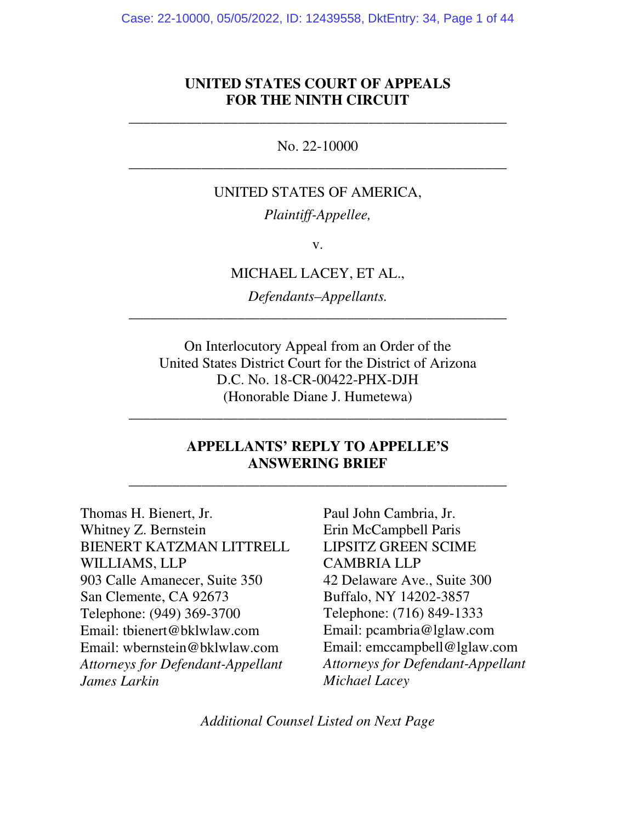### **UNITED STATES COURT OF APPEALS FOR THE NINTH CIRCUIT**

\_\_\_\_\_\_\_\_\_\_\_\_\_\_\_\_\_\_\_\_\_\_\_\_\_\_\_\_\_\_\_\_\_\_\_\_\_\_\_\_\_\_\_\_\_\_\_\_\_\_\_\_

No. 22-10000 \_\_\_\_\_\_\_\_\_\_\_\_\_\_\_\_\_\_\_\_\_\_\_\_\_\_\_\_\_\_\_\_\_\_\_\_\_\_\_\_\_\_\_\_\_\_\_\_\_\_\_\_

#### UNITED STATES OF AMERICA,

*Plaintiff-Appellee,* 

v.

MICHAEL LACEY, ET AL.,

*Defendants–Appellants.*  \_\_\_\_\_\_\_\_\_\_\_\_\_\_\_\_\_\_\_\_\_\_\_\_\_\_\_\_\_\_\_\_\_\_\_\_\_\_\_\_\_\_\_\_\_\_\_\_\_\_\_\_

On Interlocutory Appeal from an Order of the United States District Court for the District of Arizona D.C. No. 18-CR-00422-PHX-DJH (Honorable Diane J. Humetewa)

\_\_\_\_\_\_\_\_\_\_\_\_\_\_\_\_\_\_\_\_\_\_\_\_\_\_\_\_\_\_\_\_\_\_\_\_\_\_\_\_\_\_\_\_\_\_\_\_\_\_\_\_

## **APPELLANTS' REPLY TO APPELLE'S ANSWERING BRIEF**

\_\_\_\_\_\_\_\_\_\_\_\_\_\_\_\_\_\_\_\_\_\_\_\_\_\_\_\_\_\_\_\_\_\_\_\_\_\_\_\_\_\_\_\_\_\_\_\_\_\_\_\_

Thomas H. Bienert, Jr. Whitney Z. Bernstein BIENERT KATZMAN LITTRELL WILLIAMS, LLP 903 Calle Amanecer, Suite 350 San Clemente, CA 92673 Telephone: (949) 369-3700 Email: tbienert@bklwlaw.com Email: wbernstein@bklwlaw.com *Attorneys for Defendant-Appellant James Larkin*

Paul John Cambria, Jr. Erin McCampbell Paris LIPSITZ GREEN SCIME CAMBRIA LLP 42 Delaware Ave., Suite 300 Buffalo, NY 14202-3857 Telephone: (716) 849-1333 Email: pcambria@lglaw.com Email: emccampbell@lglaw.com *Attorneys for Defendant-Appellant Michael Lacey* 

*Additional Counsel Listed on Next Page*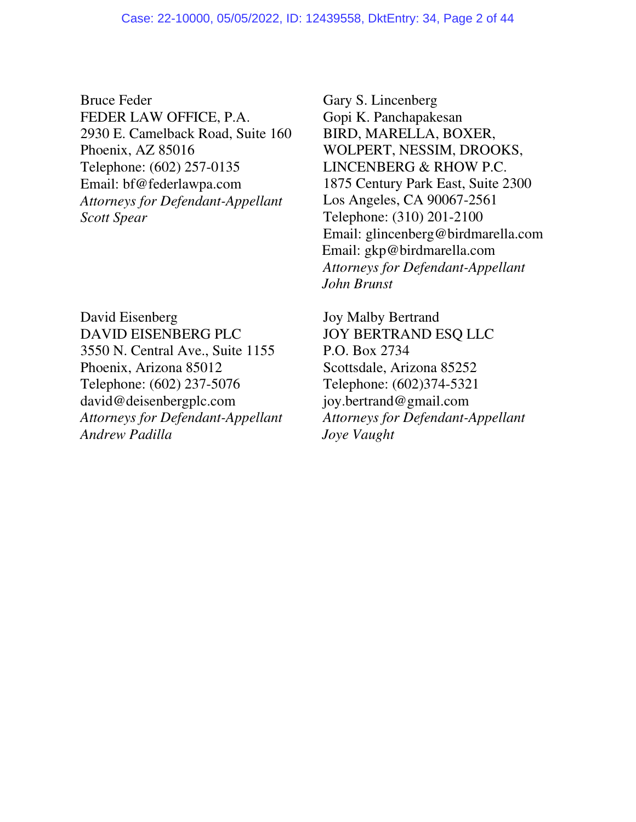Bruce Feder FEDER LAW OFFICE, P.A. 2930 E. Camelback Road, Suite 160 Phoenix, AZ 85016 Telephone: (602) 257-0135 Email: bf@federlawpa.com *Attorneys for Defendant-Appellant Scott Spear* 

David Eisenberg DAVID EISENBERG PLC 3550 N. Central Ave., Suite 1155 Phoenix, Arizona 85012 Telephone: (602) 237-5076 david@deisenbergplc.com *Attorneys for Defendant-Appellant Andrew Padilla* 

Gary S. Lincenberg Gopi K. Panchapakesan BIRD, MARELLA, BOXER, WOLPERT, NESSIM, DROOKS, LINCENBERG & RHOW P.C. 1875 Century Park East, Suite 2300 Los Angeles, CA 90067-2561 Telephone: (310) 201-2100 Email: glincenberg@birdmarella.com Email: gkp@birdmarella.com *Attorneys for Defendant-Appellant John Brunst*

Joy Malby Bertrand JOY BERTRAND ESQ LLC P.O. Box 2734 Scottsdale, Arizona 85252 Telephone: (602)374-5321 joy.bertrand@gmail.com *Attorneys for Defendant-Appellant Joye Vaught*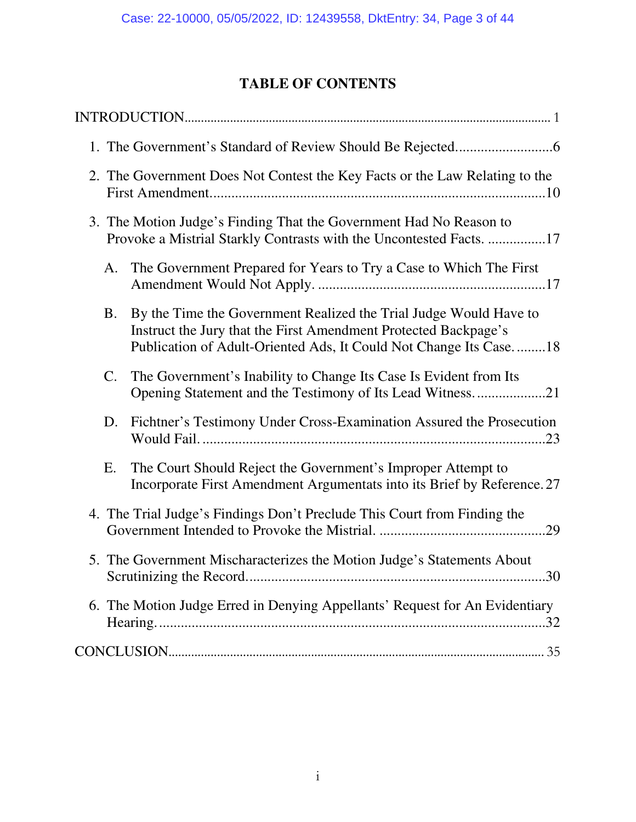# **TABLE OF CONTENTS**

| 2. The Government Does Not Contest the Key Facts or the Law Relating to the                                                               |                                                                                                                                                                                                           |  |  |
|-------------------------------------------------------------------------------------------------------------------------------------------|-----------------------------------------------------------------------------------------------------------------------------------------------------------------------------------------------------------|--|--|
| 3. The Motion Judge's Finding That the Government Had No Reason to<br>Provoke a Mistrial Starkly Contrasts with the Uncontested Facts. 17 |                                                                                                                                                                                                           |  |  |
| A.                                                                                                                                        | The Government Prepared for Years to Try a Case to Which The First                                                                                                                                        |  |  |
| <b>B.</b>                                                                                                                                 | By the Time the Government Realized the Trial Judge Would Have to<br>Instruct the Jury that the First Amendment Protected Backpage's<br>Publication of Adult-Oriented Ads, It Could Not Change Its Case18 |  |  |
| $\mathsf{C}.$                                                                                                                             | The Government's Inability to Change Its Case Is Evident from Its<br>Opening Statement and the Testimony of Its Lead Witness21                                                                            |  |  |
| D.                                                                                                                                        | Fichtner's Testimony Under Cross-Examination Assured the Prosecution                                                                                                                                      |  |  |
| E.                                                                                                                                        | The Court Should Reject the Government's Improper Attempt to<br>Incorporate First Amendment Argumentats into its Brief by Reference. 27                                                                   |  |  |
|                                                                                                                                           | 4. The Trial Judge's Findings Don't Preclude This Court from Finding the<br>.29                                                                                                                           |  |  |
|                                                                                                                                           | 5. The Government Mischaracterizes the Motion Judge's Statements About                                                                                                                                    |  |  |
|                                                                                                                                           | 6. The Motion Judge Erred in Denying Appellants' Request for An Evidentiary                                                                                                                               |  |  |
|                                                                                                                                           |                                                                                                                                                                                                           |  |  |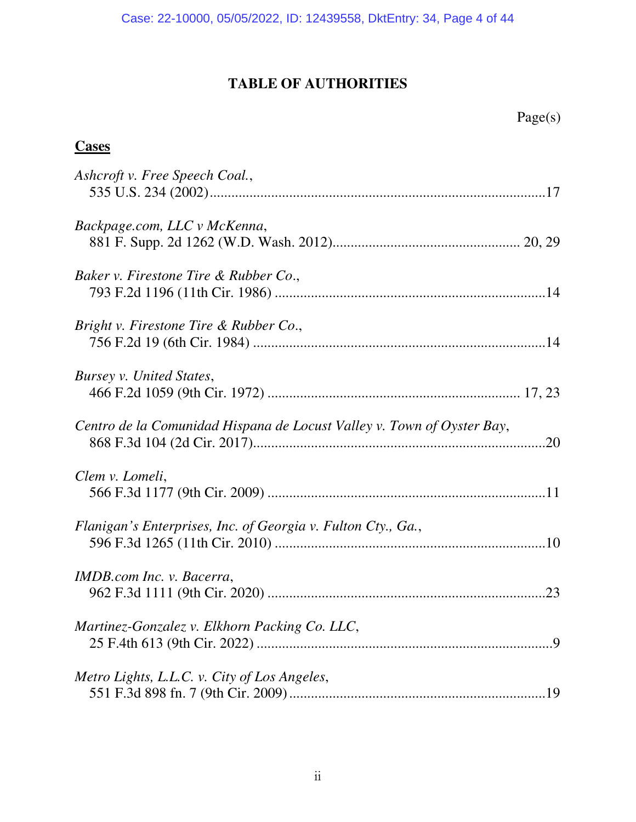# **TABLE OF AUTHORITIES**

# **Cases**

| Ashcroft v. Free Speech Coal.,                                         |
|------------------------------------------------------------------------|
| Backpage.com, LLC v McKenna,                                           |
| Baker v. Firestone Tire & Rubber Co.,                                  |
| Bright v. Firestone Tire & Rubber Co.,                                 |
| Bursey v. United States,                                               |
| Centro de la Comunidad Hispana de Locust Valley v. Town of Oyster Bay, |
| Clem v. Lomeli,                                                        |
| Flanigan's Enterprises, Inc. of Georgia v. Fulton Cty., Ga.,           |
| IMDB.com Inc. v. Bacerra,                                              |
| Martinez-Gonzalez v. Elkhorn Packing Co. LLC,                          |
| Metro Lights, L.L.C. v. City of Los Angeles,                           |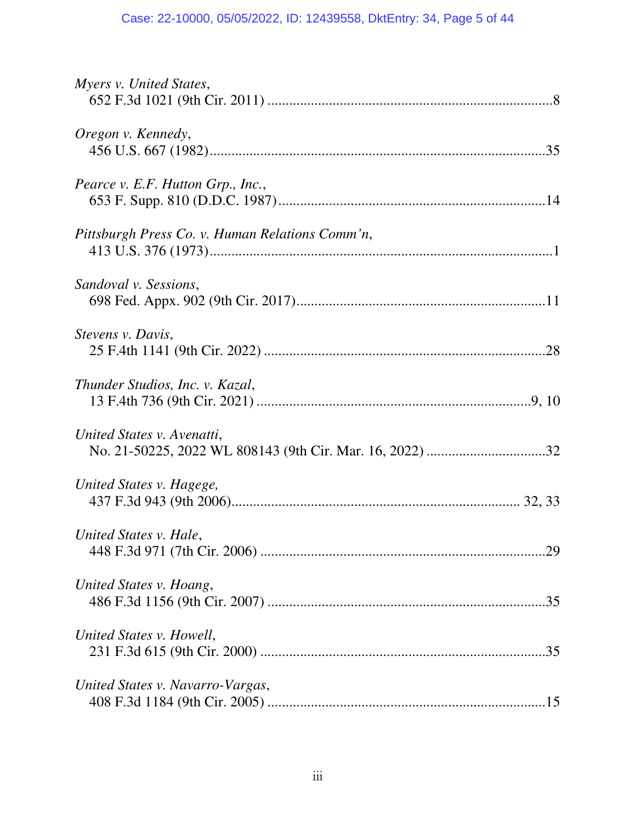| Myers v. United States,                         |
|-------------------------------------------------|
| Oregon v. Kennedy,                              |
| Pearce v. E.F. Hutton Grp., Inc.,               |
| Pittsburgh Press Co. v. Human Relations Comm'n, |
| Sandoval v. Sessions,                           |
| Stevens v. Davis,                               |
| Thunder Studios, Inc. v. Kazal,                 |
| United States v. Avenatti,                      |
| United States v. Hagege,                        |
| United States v. Hale,                          |
| United States v. Hoang,                         |
| United States v. Howell,                        |
| United States v. Navarro-Vargas,                |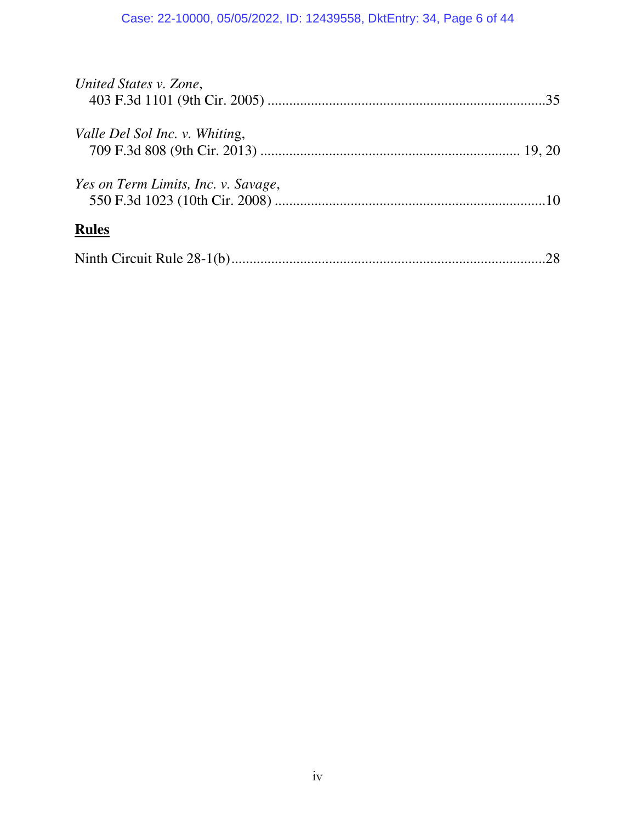| United States v. Zone,              |  |
|-------------------------------------|--|
| Valle Del Sol Inc. v. Whiting,      |  |
| Yes on Term Limits, Inc. v. Savage, |  |
| <b>Rules</b>                        |  |
|                                     |  |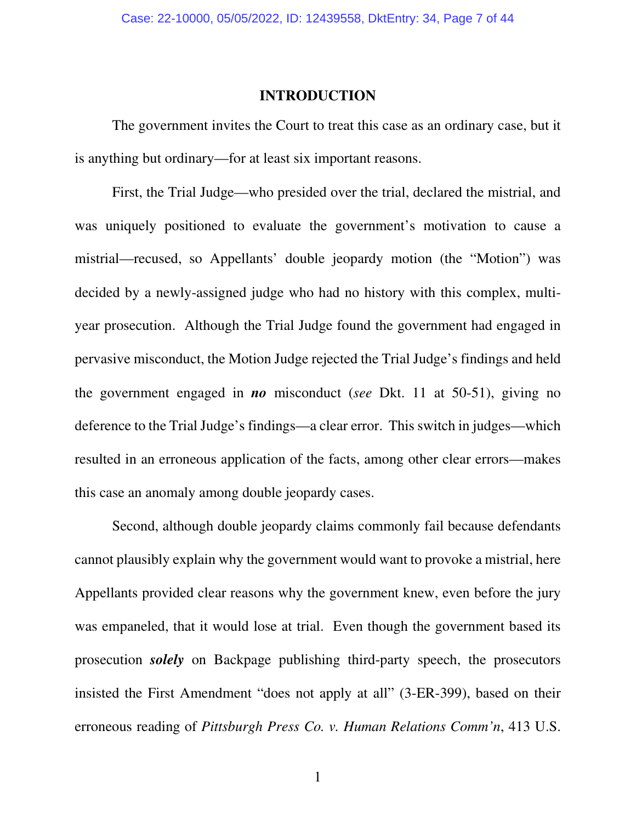### **INTRODUCTION**

The government invites the Court to treat this case as an ordinary case, but it is anything but ordinary—for at least six important reasons.

 First, the Trial Judge—who presided over the trial, declared the mistrial, and was uniquely positioned to evaluate the government's motivation to cause a mistrial—recused, so Appellants' double jeopardy motion (the "Motion") was decided by a newly-assigned judge who had no history with this complex, multiyear prosecution. Although the Trial Judge found the government had engaged in pervasive misconduct, the Motion Judge rejected the Trial Judge's findings and held the government engaged in *no* misconduct (*see* Dkt. 11 at 50-51), giving no deference to the Trial Judge's findings—a clear error. This switch in judges—which resulted in an erroneous application of the facts, among other clear errors—makes this case an anomaly among double jeopardy cases.

 Second, although double jeopardy claims commonly fail because defendants cannot plausibly explain why the government would want to provoke a mistrial, here Appellants provided clear reasons why the government knew, even before the jury was empaneled, that it would lose at trial. Even though the government based its prosecution *solely* on Backpage publishing third-party speech, the prosecutors insisted the First Amendment "does not apply at all" (3-ER-399), based on their erroneous reading of *Pittsburgh Press Co. v. Human Relations Comm'n*, 413 U.S.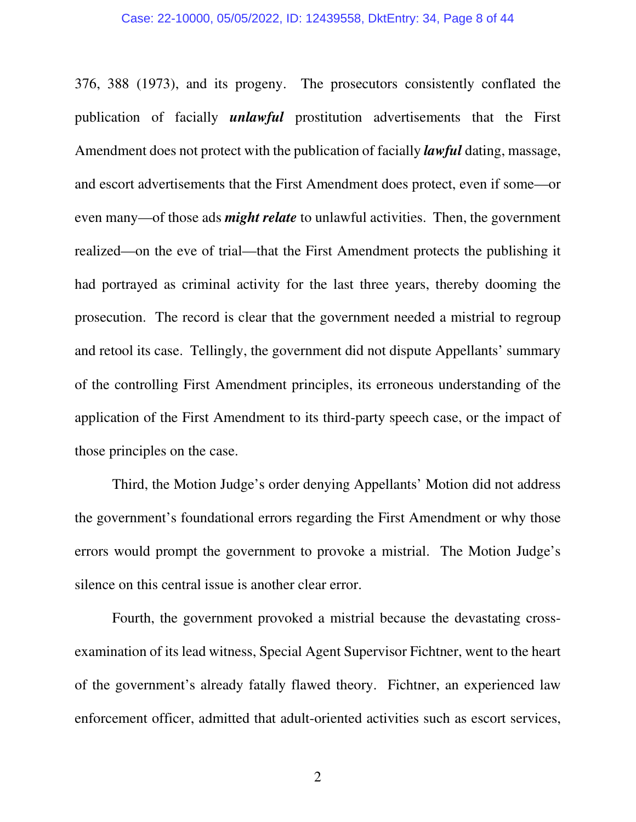#### Case: 22-10000, 05/05/2022, ID: 12439558, DktEntry: 34, Page 8 of 44

376, 388 (1973), and its progeny. The prosecutors consistently conflated the publication of facially *unlawful* prostitution advertisements that the First Amendment does not protect with the publication of facially *lawful* dating, massage, and escort advertisements that the First Amendment does protect, even if some—or even many—of those ads *might relate* to unlawful activities. Then, the government realized—on the eve of trial—that the First Amendment protects the publishing it had portrayed as criminal activity for the last three years, thereby dooming the prosecution. The record is clear that the government needed a mistrial to regroup and retool its case. Tellingly, the government did not dispute Appellants' summary of the controlling First Amendment principles, its erroneous understanding of the application of the First Amendment to its third-party speech case, or the impact of those principles on the case.

Third, the Motion Judge's order denying Appellants' Motion did not address the government's foundational errors regarding the First Amendment or why those errors would prompt the government to provoke a mistrial. The Motion Judge's silence on this central issue is another clear error.

 Fourth, the government provoked a mistrial because the devastating crossexamination of its lead witness, Special Agent Supervisor Fichtner, went to the heart of the government's already fatally flawed theory. Fichtner, an experienced law enforcement officer, admitted that adult-oriented activities such as escort services,

2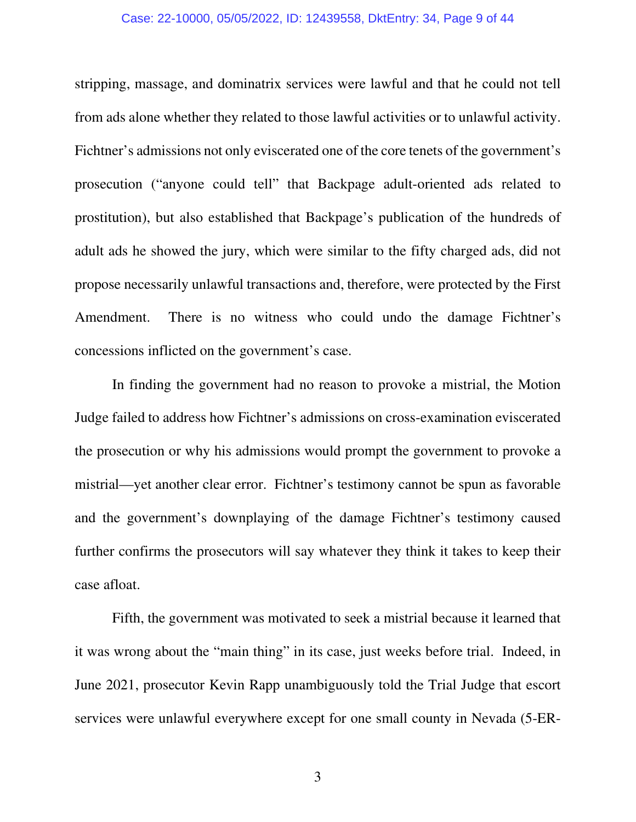#### Case: 22-10000, 05/05/2022, ID: 12439558, DktEntry: 34, Page 9 of 44

stripping, massage, and dominatrix services were lawful and that he could not tell from ads alone whether they related to those lawful activities or to unlawful activity. Fichtner's admissions not only eviscerated one of the core tenets of the government's prosecution ("anyone could tell" that Backpage adult-oriented ads related to prostitution), but also established that Backpage's publication of the hundreds of adult ads he showed the jury, which were similar to the fifty charged ads, did not propose necessarily unlawful transactions and, therefore, were protected by the First Amendment. There is no witness who could undo the damage Fichtner's concessions inflicted on the government's case.

 In finding the government had no reason to provoke a mistrial, the Motion Judge failed to address how Fichtner's admissions on cross-examination eviscerated the prosecution or why his admissions would prompt the government to provoke a mistrial—yet another clear error. Fichtner's testimony cannot be spun as favorable and the government's downplaying of the damage Fichtner's testimony caused further confirms the prosecutors will say whatever they think it takes to keep their case afloat.

 Fifth, the government was motivated to seek a mistrial because it learned that it was wrong about the "main thing" in its case, just weeks before trial. Indeed, in June 2021, prosecutor Kevin Rapp unambiguously told the Trial Judge that escort services were unlawful everywhere except for one small county in Nevada (5-ER-

3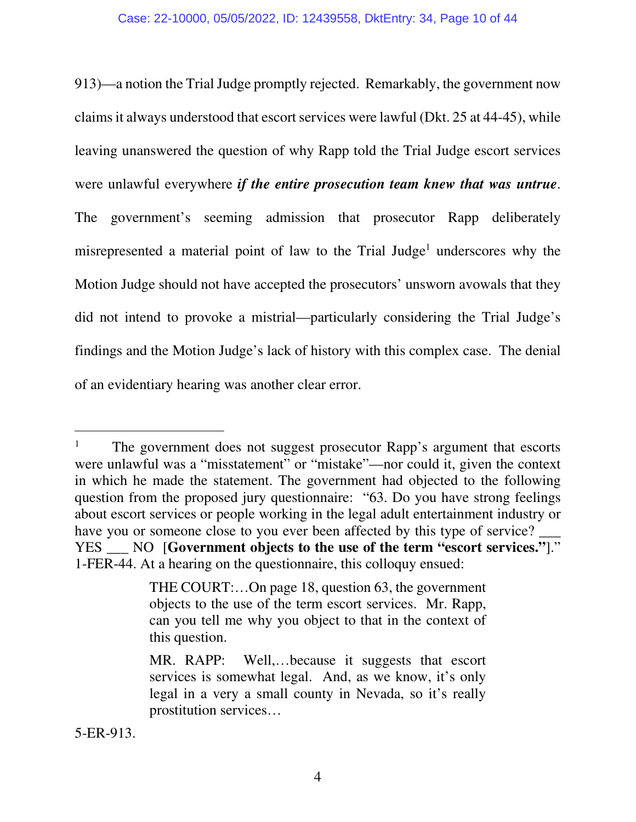913)—a notion the Trial Judge promptly rejected. Remarkably, the government now claims it always understood that escort services were lawful (Dkt. 25 at 44-45), while leaving unanswered the question of why Rapp told the Trial Judge escort services were unlawful everywhere *if the entire prosecution team knew that was untrue*. The government's seeming admission that prosecutor Rapp deliberately misrepresented a material point of law to the Trial Judge<sup>1</sup> underscores why the Motion Judge should not have accepted the prosecutors' unsworn avowals that they did not intend to provoke a mistrial—particularly considering the Trial Judge's findings and the Motion Judge's lack of history with this complex case. The denial of an evidentiary hearing was another clear error.

5-ER-913.

<sup>1</sup> The government does not suggest prosecutor Rapp's argument that escorts were unlawful was a "misstatement" or "mistake"—nor could it, given the context in which he made the statement. The government had objected to the following question from the proposed jury questionnaire: "63. Do you have strong feelings about escort services or people working in the legal adult entertainment industry or have you or someone close to you ever been affected by this type of service? YES \_\_\_ NO [**Government objects to the use of the term "escort services."**]." 1-FER-44. At a hearing on the questionnaire, this colloquy ensued:

THE COURT:…On page 18, question 63, the government objects to the use of the term escort services. Mr. Rapp, can you tell me why you object to that in the context of this question.

MR. RAPP: Well,…because it suggests that escort services is somewhat legal. And, as we know, it's only legal in a very a small county in Nevada, so it's really prostitution services…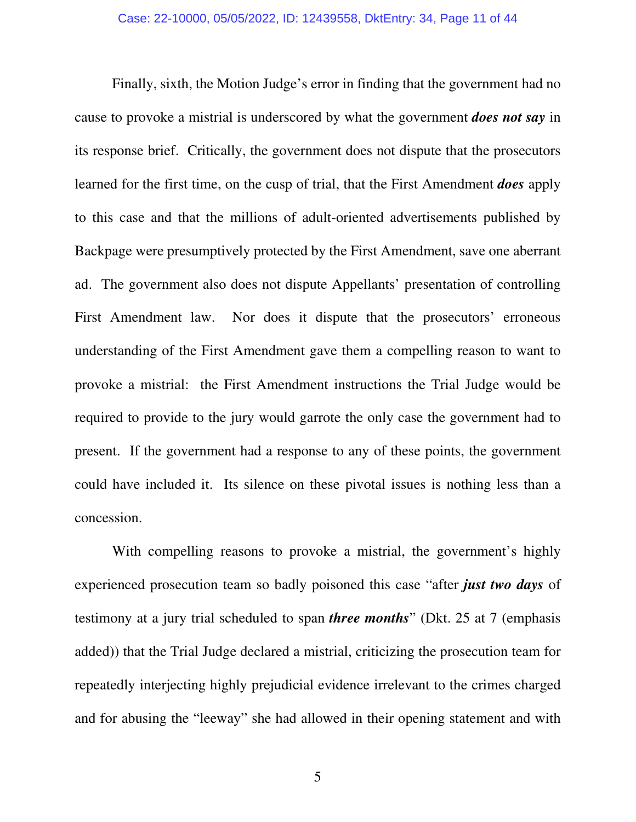Finally, sixth, the Motion Judge's error in finding that the government had no cause to provoke a mistrial is underscored by what the government *does not say* in its response brief. Critically, the government does not dispute that the prosecutors learned for the first time, on the cusp of trial, that the First Amendment *does* apply to this case and that the millions of adult-oriented advertisements published by Backpage were presumptively protected by the First Amendment, save one aberrant ad. The government also does not dispute Appellants' presentation of controlling First Amendment law. Nor does it dispute that the prosecutors' erroneous understanding of the First Amendment gave them a compelling reason to want to provoke a mistrial: the First Amendment instructions the Trial Judge would be required to provide to the jury would garrote the only case the government had to present. If the government had a response to any of these points, the government could have included it. Its silence on these pivotal issues is nothing less than a concession.

 With compelling reasons to provoke a mistrial, the government's highly experienced prosecution team so badly poisoned this case "after *just two days* of testimony at a jury trial scheduled to span *three months*" (Dkt. 25 at 7 (emphasis added)) that the Trial Judge declared a mistrial, criticizing the prosecution team for repeatedly interjecting highly prejudicial evidence irrelevant to the crimes charged and for abusing the "leeway" she had allowed in their opening statement and with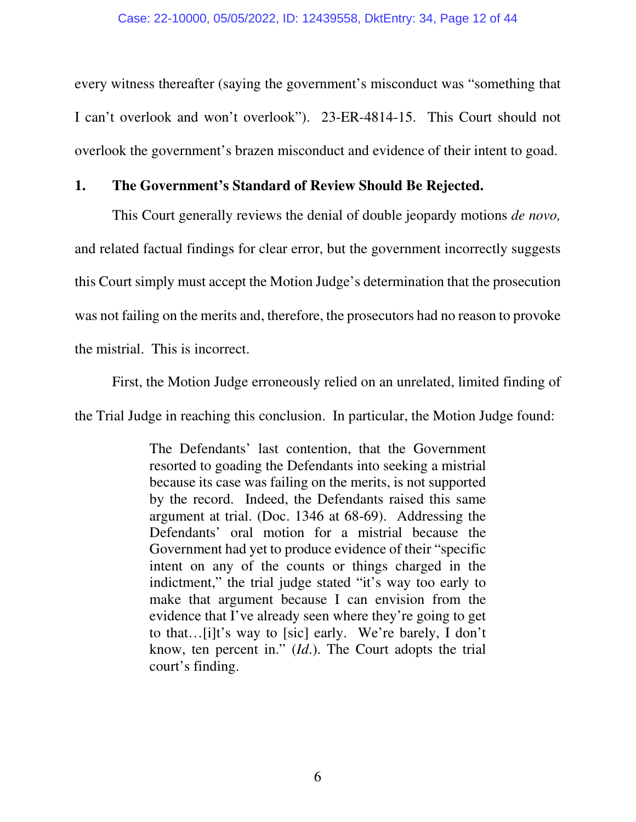every witness thereafter (saying the government's misconduct was "something that I can't overlook and won't overlook"). 23-ER-4814-15. This Court should not overlook the government's brazen misconduct and evidence of their intent to goad.

### **1. The Government's Standard of Review Should Be Rejected.**

 This Court generally reviews the denial of double jeopardy motions *de novo,* and related factual findings for clear error, but the government incorrectly suggests this Court simply must accept the Motion Judge's determination that the prosecution was not failing on the merits and, therefore, the prosecutors had no reason to provoke the mistrial. This is incorrect.

 First, the Motion Judge erroneously relied on an unrelated, limited finding of the Trial Judge in reaching this conclusion. In particular, the Motion Judge found:

> The Defendants' last contention, that the Government resorted to goading the Defendants into seeking a mistrial because its case was failing on the merits, is not supported by the record. Indeed, the Defendants raised this same argument at trial. (Doc. 1346 at 68-69). Addressing the Defendants' oral motion for a mistrial because the Government had yet to produce evidence of their "specific intent on any of the counts or things charged in the indictment," the trial judge stated "it's way too early to make that argument because I can envision from the evidence that I've already seen where they're going to get to that…[i]t's way to [sic] early. We're barely, I don't know, ten percent in." (*Id*.). The Court adopts the trial court's finding.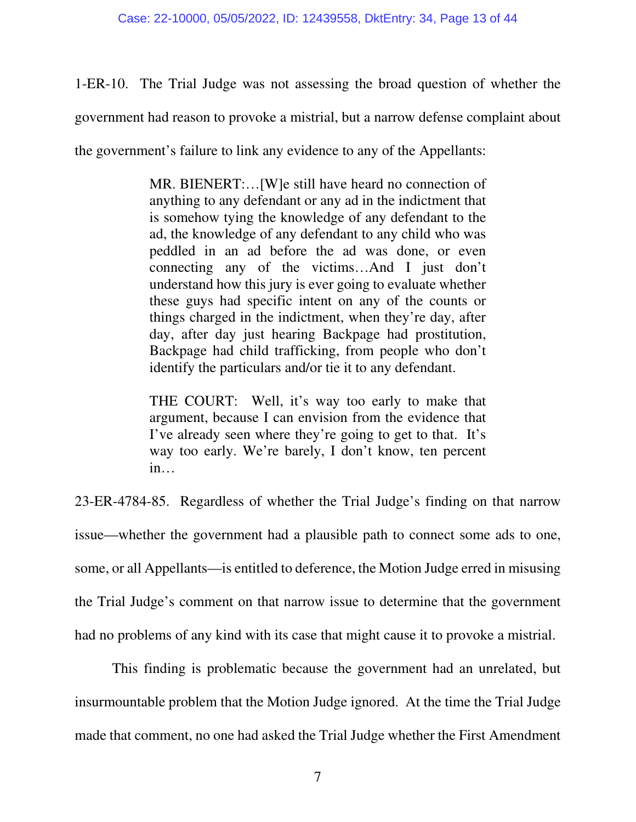1-ER-10. The Trial Judge was not assessing the broad question of whether the government had reason to provoke a mistrial, but a narrow defense complaint about the government's failure to link any evidence to any of the Appellants:

> MR. BIENERT:…[W]e still have heard no connection of anything to any defendant or any ad in the indictment that is somehow tying the knowledge of any defendant to the ad, the knowledge of any defendant to any child who was peddled in an ad before the ad was done, or even connecting any of the victims…And I just don't understand how this jury is ever going to evaluate whether these guys had specific intent on any of the counts or things charged in the indictment, when they're day, after day, after day just hearing Backpage had prostitution, Backpage had child trafficking, from people who don't identify the particulars and/or tie it to any defendant.

> THE COURT: Well, it's way too early to make that argument, because I can envision from the evidence that I've already seen where they're going to get to that. It's way too early. We're barely, I don't know, ten percent in…

23-ER-4784-85. Regardless of whether the Trial Judge's finding on that narrow issue—whether the government had a plausible path to connect some ads to one, some, or all Appellants—is entitled to deference, the Motion Judge erred in misusing the Trial Judge's comment on that narrow issue to determine that the government had no problems of any kind with its case that might cause it to provoke a mistrial.

This finding is problematic because the government had an unrelated, but insurmountable problem that the Motion Judge ignored. At the time the Trial Judge made that comment, no one had asked the Trial Judge whether the First Amendment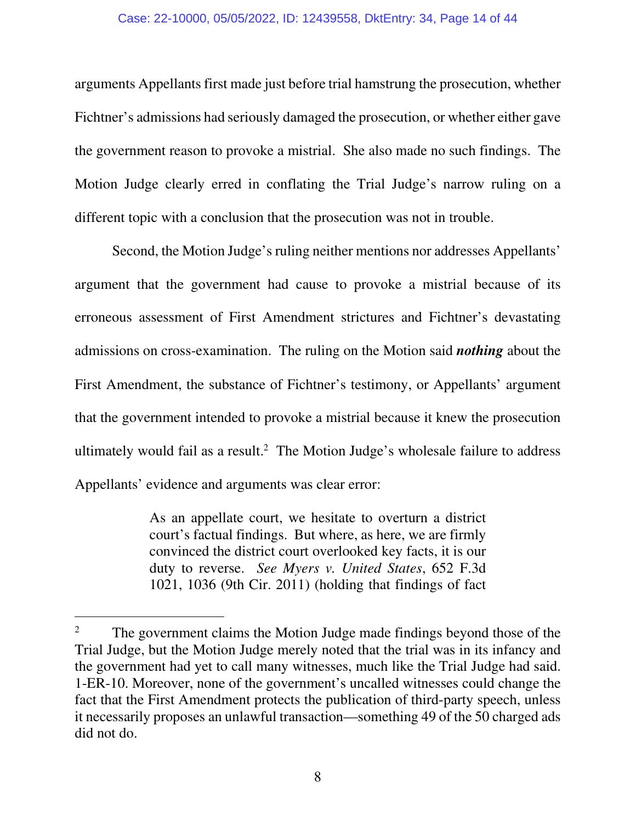#### Case: 22-10000, 05/05/2022, ID: 12439558, DktEntry: 34, Page 14 of 44

arguments Appellants first made just before trial hamstrung the prosecution, whether Fichtner's admissions had seriously damaged the prosecution, or whether either gave the government reason to provoke a mistrial. She also made no such findings. The Motion Judge clearly erred in conflating the Trial Judge's narrow ruling on a different topic with a conclusion that the prosecution was not in trouble.

 Second, the Motion Judge's ruling neither mentions nor addresses Appellants' argument that the government had cause to provoke a mistrial because of its erroneous assessment of First Amendment strictures and Fichtner's devastating admissions on cross-examination. The ruling on the Motion said *nothing* about the First Amendment, the substance of Fichtner's testimony, or Appellants' argument that the government intended to provoke a mistrial because it knew the prosecution ultimately would fail as a result.<sup>2</sup> The Motion Judge's wholesale failure to address Appellants' evidence and arguments was clear error:

> As an appellate court, we hesitate to overturn a district court's factual findings. But where, as here, we are firmly convinced the district court overlooked key facts, it is our duty to reverse. *See Myers v. United States*, 652 F.3d 1021, 1036 (9th Cir. 2011) (holding that findings of fact

<sup>2</sup> The government claims the Motion Judge made findings beyond those of the Trial Judge, but the Motion Judge merely noted that the trial was in its infancy and the government had yet to call many witnesses, much like the Trial Judge had said. 1-ER-10. Moreover, none of the government's uncalled witnesses could change the fact that the First Amendment protects the publication of third-party speech, unless it necessarily proposes an unlawful transaction—something 49 of the 50 charged ads did not do.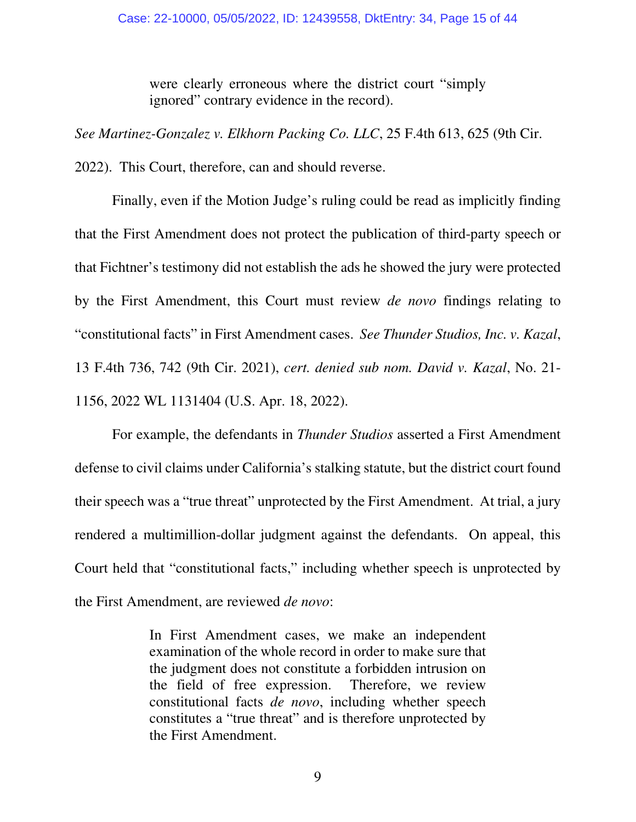were clearly erroneous where the district court "simply ignored" contrary evidence in the record).

*See Martinez-Gonzalez v. Elkhorn Packing Co. LLC*, 25 F.4th 613, 625 (9th Cir. 2022). This Court, therefore, can and should reverse.

 Finally, even if the Motion Judge's ruling could be read as implicitly finding that the First Amendment does not protect the publication of third-party speech or that Fichtner's testimony did not establish the ads he showed the jury were protected by the First Amendment, this Court must review *de novo* findings relating to "constitutional facts" in First Amendment cases. *See Thunder Studios, Inc. v. Kazal*, 13 F.4th 736, 742 (9th Cir. 2021), *cert. denied sub nom. David v. Kazal*, No. 21- 1156, 2022 WL 1131404 (U.S. Apr. 18, 2022).

 For example, the defendants in *Thunder Studios* asserted a First Amendment defense to civil claims under California's stalking statute, but the district court found their speech was a "true threat" unprotected by the First Amendment. At trial, a jury rendered a multimillion-dollar judgment against the defendants. On appeal, this Court held that "constitutional facts," including whether speech is unprotected by the First Amendment, are reviewed *de novo*:

> In First Amendment cases, we make an independent examination of the whole record in order to make sure that the judgment does not constitute a forbidden intrusion on the field of free expression. Therefore, we review constitutional facts *de novo*, including whether speech constitutes a "true threat" and is therefore unprotected by the First Amendment.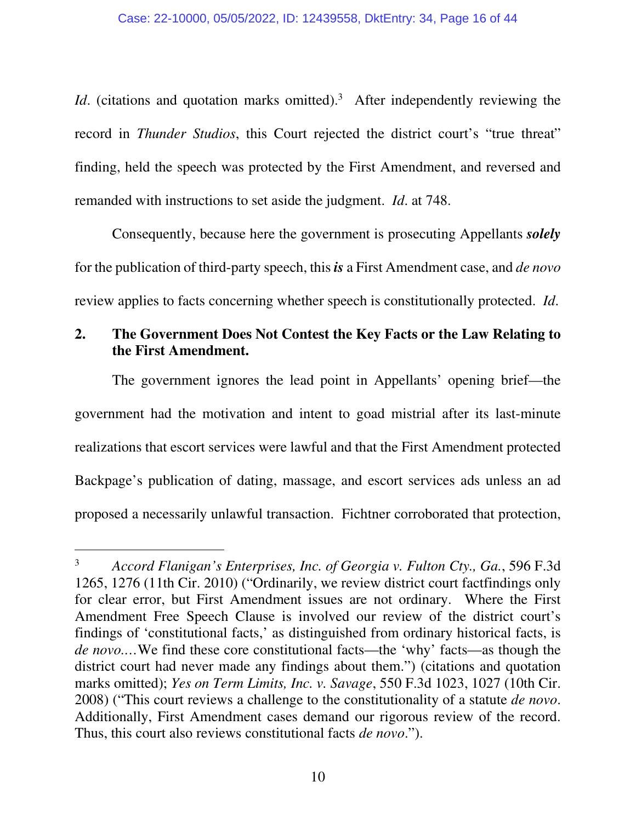*Id.* (citations and quotation marks omitted).<sup>3</sup> After independently reviewing the record in *Thunder Studios*, this Court rejected the district court's "true threat" finding, held the speech was protected by the First Amendment, and reversed and remanded with instructions to set aside the judgment. *Id*. at 748.

Consequently, because here the government is prosecuting Appellants *solely* for the publication of third-party speech, this *is* a First Amendment case, and *de novo*  review applies to facts concerning whether speech is constitutionally protected. *Id*.

# **2. The Government Does Not Contest the Key Facts or the Law Relating to the First Amendment.**

 The government ignores the lead point in Appellants' opening brief—the government had the motivation and intent to goad mistrial after its last-minute realizations that escort services were lawful and that the First Amendment protected Backpage's publication of dating, massage, and escort services ads unless an ad proposed a necessarily unlawful transaction. Fichtner corroborated that protection,

<sup>3</sup> *Accord Flanigan's Enterprises, Inc. of Georgia v. Fulton Cty., Ga.*, 596 F.3d 1265, 1276 (11th Cir. 2010) ("Ordinarily, we review district court factfindings only for clear error, but First Amendment issues are not ordinary. Where the First Amendment Free Speech Clause is involved our review of the district court's findings of 'constitutional facts,' as distinguished from ordinary historical facts, is *de novo.…*We find these core constitutional facts—the 'why' facts—as though the district court had never made any findings about them.") (citations and quotation marks omitted); *Yes on Term Limits, Inc. v. Savage*, 550 F.3d 1023, 1027 (10th Cir. 2008) ("This court reviews a challenge to the constitutionality of a statute *de novo*. Additionally, First Amendment cases demand our rigorous review of the record. Thus, this court also reviews constitutional facts *de novo*.").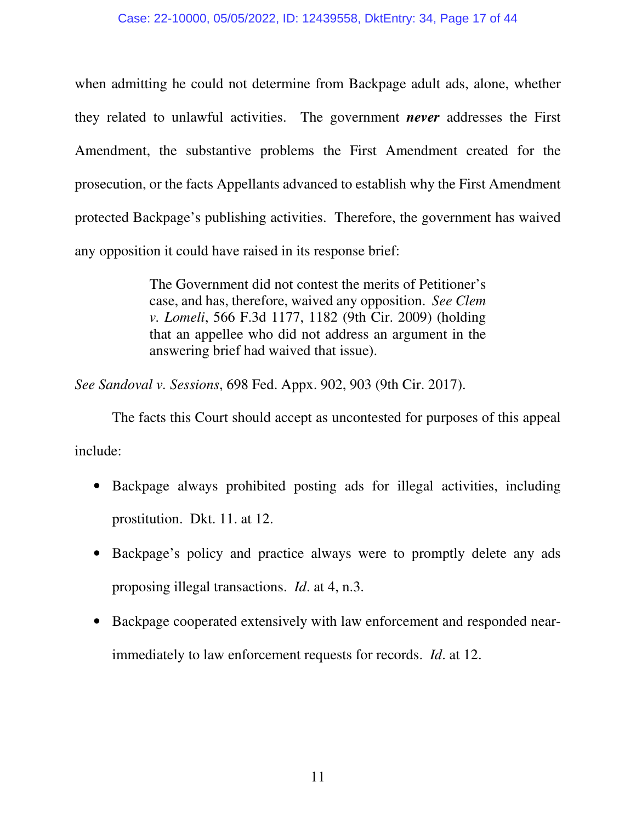when admitting he could not determine from Backpage adult ads, alone, whether they related to unlawful activities. The government *never* addresses the First Amendment, the substantive problems the First Amendment created for the prosecution, or the facts Appellants advanced to establish why the First Amendment protected Backpage's publishing activities. Therefore, the government has waived any opposition it could have raised in its response brief:

> The Government did not contest the merits of Petitioner's case, and has, therefore, waived any opposition. *See Clem v. Lomeli*, 566 F.3d 1177, 1182 (9th Cir. 2009) (holding that an appellee who did not address an argument in the answering brief had waived that issue).

*See Sandoval v. Sessions*, 698 Fed. Appx. 902, 903 (9th Cir. 2017).

 The facts this Court should accept as uncontested for purposes of this appeal include:

- Backpage always prohibited posting ads for illegal activities, including prostitution. Dkt. 11. at 12.
- Backpage's policy and practice always were to promptly delete any ads proposing illegal transactions. *Id*. at 4, n.3.
- Backpage cooperated extensively with law enforcement and responded nearimmediately to law enforcement requests for records. *Id*. at 12.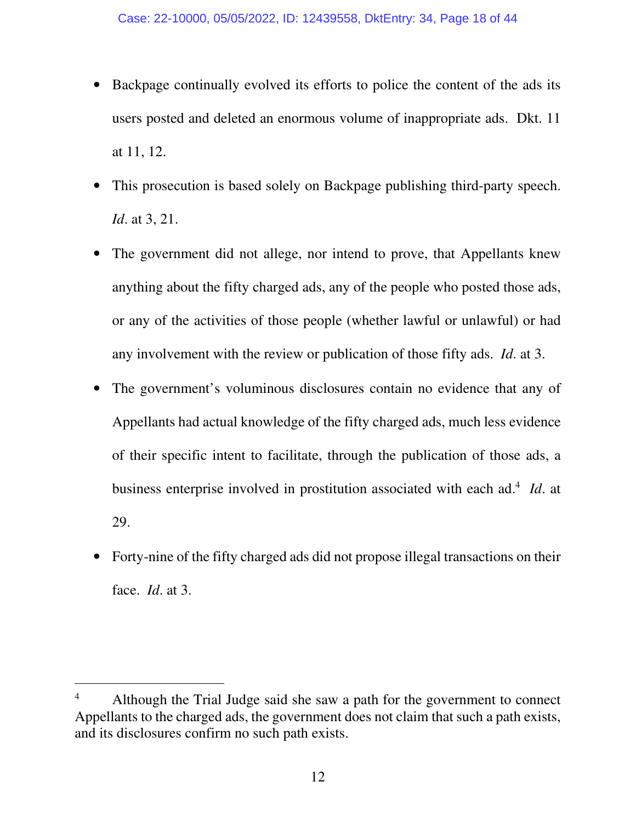- Backpage continually evolved its efforts to police the content of the ads its users posted and deleted an enormous volume of inappropriate ads. Dkt. 11 at 11, 12.
- This prosecution is based solely on Backpage publishing third-party speech. *Id*. at 3, 21.
- The government did not allege, nor intend to prove, that Appellants knew anything about the fifty charged ads, any of the people who posted those ads, or any of the activities of those people (whether lawful or unlawful) or had any involvement with the review or publication of those fifty ads. *Id*. at 3.
- The government's voluminous disclosures contain no evidence that any of Appellants had actual knowledge of the fifty charged ads, much less evidence of their specific intent to facilitate, through the publication of those ads, a business enterprise involved in prostitution associated with each ad.<sup>4</sup> *Id*. at 29.
- Forty-nine of the fifty charged ads did not propose illegal transactions on their face. *Id*. at 3.

<sup>4</sup> Although the Trial Judge said she saw a path for the government to connect Appellants to the charged ads, the government does not claim that such a path exists, and its disclosures confirm no such path exists.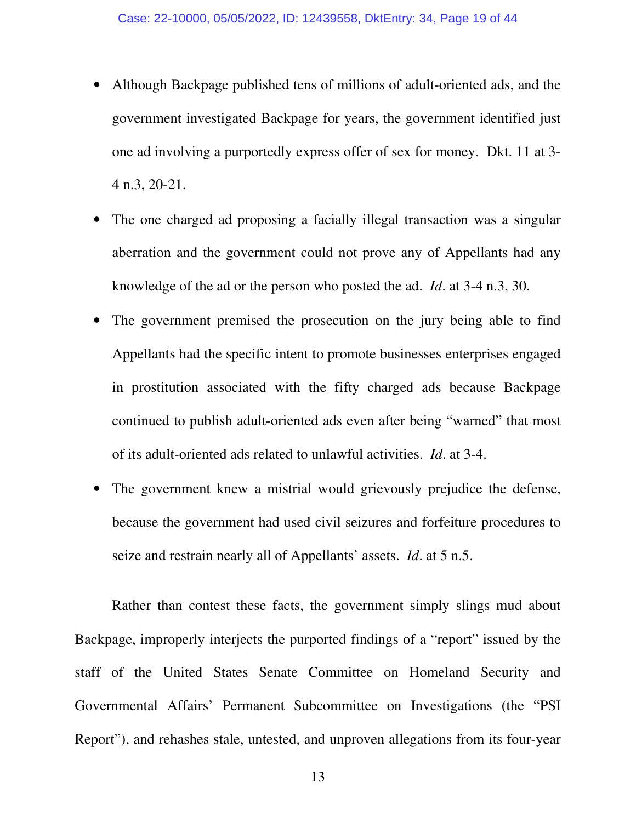- Although Backpage published tens of millions of adult-oriented ads, and the government investigated Backpage for years, the government identified just one ad involving a purportedly express offer of sex for money. Dkt. 11 at 3- 4 n.3, 20-21.
- The one charged ad proposing a facially illegal transaction was a singular aberration and the government could not prove any of Appellants had any knowledge of the ad or the person who posted the ad. *Id*. at 3-4 n.3, 30.
- The government premised the prosecution on the jury being able to find Appellants had the specific intent to promote businesses enterprises engaged in prostitution associated with the fifty charged ads because Backpage continued to publish adult-oriented ads even after being "warned" that most of its adult-oriented ads related to unlawful activities. *Id*. at 3-4.
- The government knew a mistrial would grievously prejudice the defense, because the government had used civil seizures and forfeiture procedures to seize and restrain nearly all of Appellants' assets. *Id*. at 5 n.5.

 Rather than contest these facts, the government simply slings mud about Backpage, improperly interjects the purported findings of a "report" issued by the staff of the United States Senate Committee on Homeland Security and Governmental Affairs' Permanent Subcommittee on Investigations (the "PSI Report"), and rehashes stale, untested, and unproven allegations from its four-year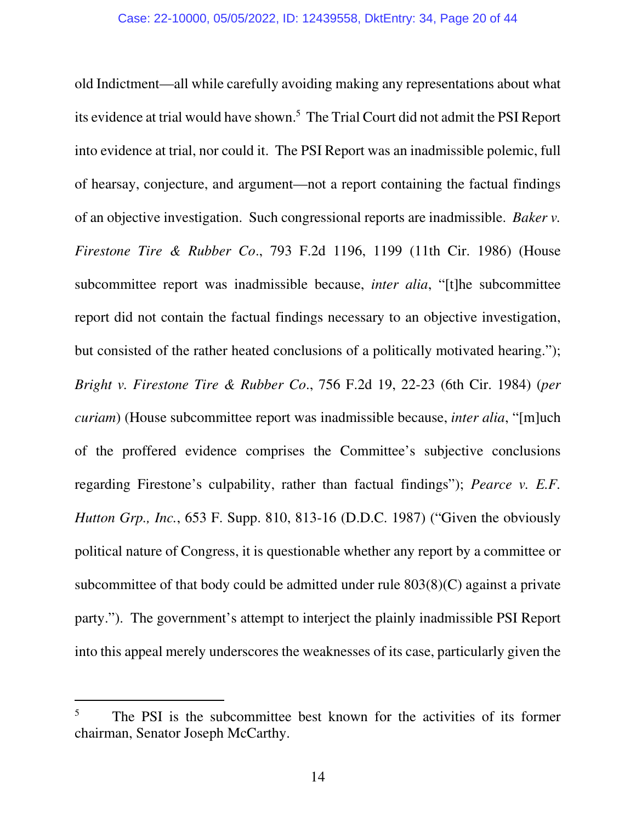old Indictment—all while carefully avoiding making any representations about what its evidence at trial would have shown.<sup>5</sup> The Trial Court did not admit the PSI Report into evidence at trial, nor could it. The PSI Report was an inadmissible polemic, full of hearsay, conjecture, and argument—not a report containing the factual findings of an objective investigation. Such congressional reports are inadmissible. *Baker v. Firestone Tire & Rubber Co*., 793 F.2d 1196, 1199 (11th Cir. 1986) (House subcommittee report was inadmissible because, *inter alia*, "[t]he subcommittee report did not contain the factual findings necessary to an objective investigation, but consisted of the rather heated conclusions of a politically motivated hearing."); *Bright v. Firestone Tire & Rubber Co*., 756 F.2d 19, 22-23 (6th Cir. 1984) (*per curiam*) (House subcommittee report was inadmissible because, *inter alia*, "[m]uch of the proffered evidence comprises the Committee's subjective conclusions regarding Firestone's culpability, rather than factual findings"); *Pearce v. E.F. Hutton Grp., Inc.*, 653 F. Supp. 810, 813-16 (D.D.C. 1987) ("Given the obviously political nature of Congress, it is questionable whether any report by a committee or subcommittee of that body could be admitted under rule 803(8)(C) against a private party."). The government's attempt to interject the plainly inadmissible PSI Report into this appeal merely underscores the weaknesses of its case, particularly given the

<sup>5</sup> The PSI is the subcommittee best known for the activities of its former chairman, Senator Joseph McCarthy.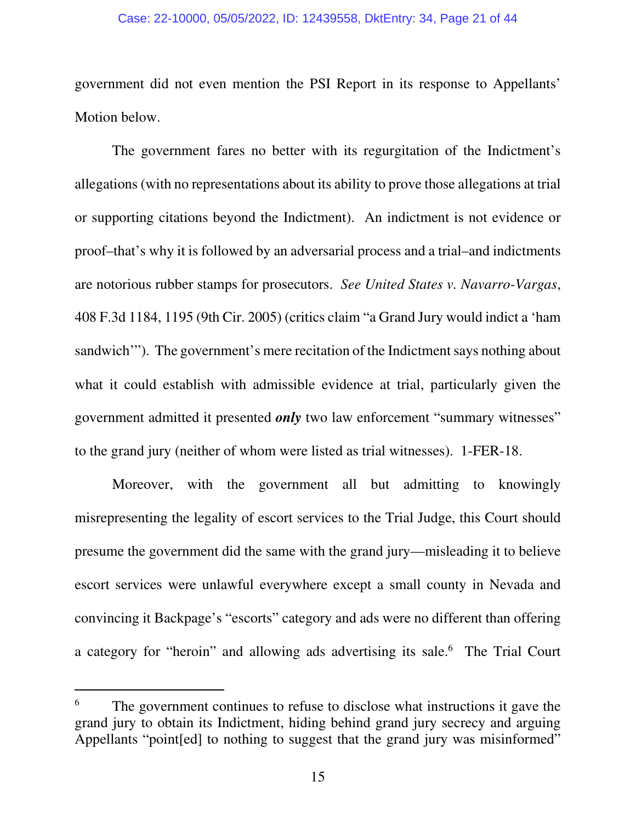#### Case: 22-10000, 05/05/2022, ID: 12439558, DktEntry: 34, Page 21 of 44

government did not even mention the PSI Report in its response to Appellants' Motion below.

 The government fares no better with its regurgitation of the Indictment's allegations (with no representations about its ability to prove those allegations at trial or supporting citations beyond the Indictment). An indictment is not evidence or proof–that's why it is followed by an adversarial process and a trial–and indictments are notorious rubber stamps for prosecutors. *See United States v. Navarro-Vargas*, 408 F.3d 1184, 1195 (9th Cir. 2005) (critics claim "a Grand Jury would indict a 'ham sandwich'"). The government's mere recitation of the Indictment says nothing about what it could establish with admissible evidence at trial, particularly given the government admitted it presented *only* two law enforcement "summary witnesses" to the grand jury (neither of whom were listed as trial witnesses). 1-FER-18.

Moreover, with the government all but admitting to knowingly misrepresenting the legality of escort services to the Trial Judge, this Court should presume the government did the same with the grand jury—misleading it to believe escort services were unlawful everywhere except a small county in Nevada and convincing it Backpage's "escorts" category and ads were no different than offering a category for "heroin" and allowing ads advertising its sale.<sup>6</sup> The Trial Court

<sup>6</sup> The government continues to refuse to disclose what instructions it gave the grand jury to obtain its Indictment, hiding behind grand jury secrecy and arguing Appellants "point [ed] to nothing to suggest that the grand jury was misinformed"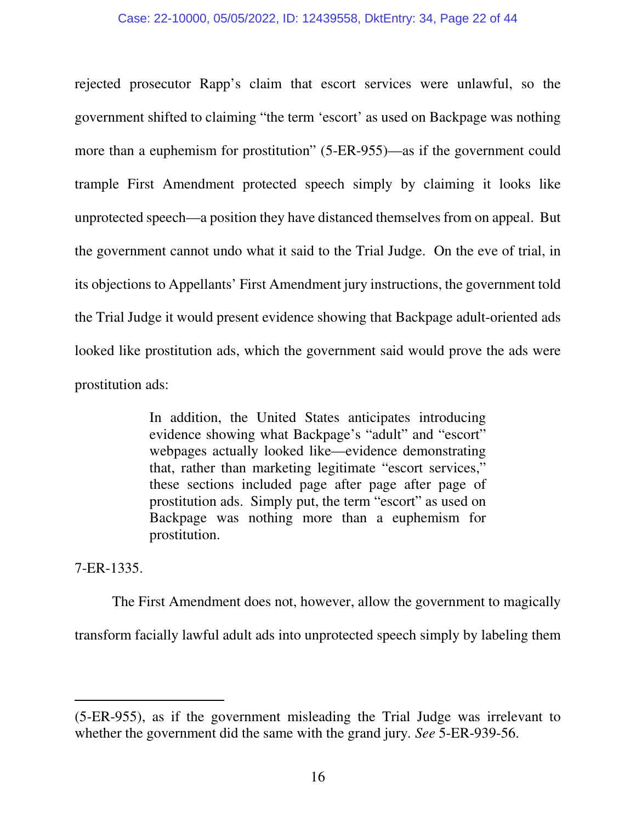rejected prosecutor Rapp's claim that escort services were unlawful, so the government shifted to claiming "the term 'escort' as used on Backpage was nothing more than a euphemism for prostitution" (5-ER-955)—as if the government could trample First Amendment protected speech simply by claiming it looks like unprotected speech—a position they have distanced themselves from on appeal. But the government cannot undo what it said to the Trial Judge. On the eve of trial, in its objections to Appellants' First Amendment jury instructions, the government told the Trial Judge it would present evidence showing that Backpage adult-oriented ads looked like prostitution ads, which the government said would prove the ads were prostitution ads:

> In addition, the United States anticipates introducing evidence showing what Backpage's "adult" and "escort" webpages actually looked like—evidence demonstrating that, rather than marketing legitimate "escort services," these sections included page after page after page of prostitution ads. Simply put, the term "escort" as used on Backpage was nothing more than a euphemism for prostitution.

7-ER-1335.

The First Amendment does not, however, allow the government to magically transform facially lawful adult ads into unprotected speech simply by labeling them

<sup>(5-</sup>ER-955), as if the government misleading the Trial Judge was irrelevant to whether the government did the same with the grand jury*. See* 5-ER-939-56.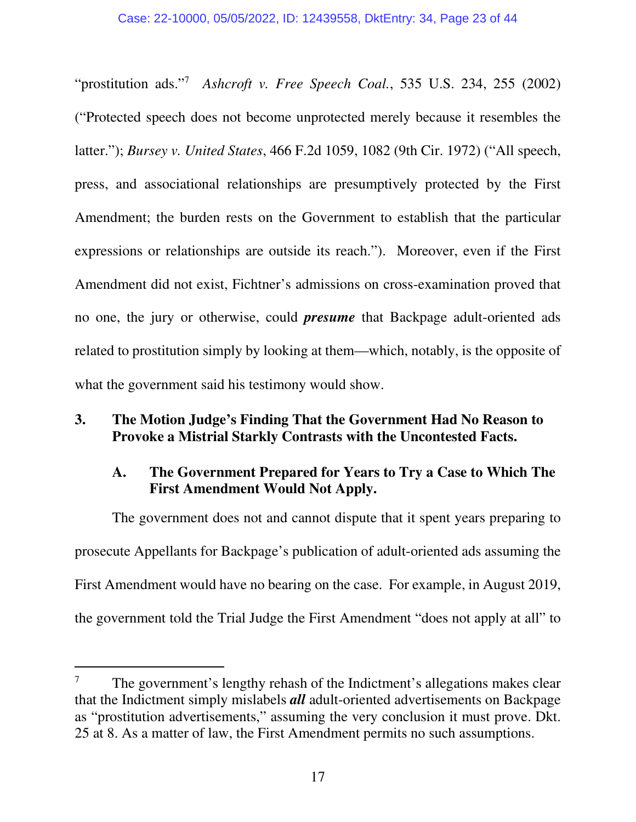"prostitution ads."<sup>7</sup> *Ashcroft v. Free Speech Coal.*, 535 U.S. 234, 255 (2002) ("Protected speech does not become unprotected merely because it resembles the latter."); *Bursey v. United States*, 466 F.2d 1059, 1082 (9th Cir. 1972) ("All speech, press, and associational relationships are presumptively protected by the First Amendment; the burden rests on the Government to establish that the particular expressions or relationships are outside its reach."). Moreover, even if the First Amendment did not exist, Fichtner's admissions on cross-examination proved that no one, the jury or otherwise, could *presume* that Backpage adult-oriented ads related to prostitution simply by looking at them—which, notably, is the opposite of what the government said his testimony would show.

## **3. The Motion Judge's Finding That the Government Had No Reason to Provoke a Mistrial Starkly Contrasts with the Uncontested Facts.**

# **A. The Government Prepared for Years to Try a Case to Which The First Amendment Would Not Apply.**

 The government does not and cannot dispute that it spent years preparing to prosecute Appellants for Backpage's publication of adult-oriented ads assuming the First Amendment would have no bearing on the case. For example, in August 2019, the government told the Trial Judge the First Amendment "does not apply at all" to

<sup>7</sup> The government's lengthy rehash of the Indictment's allegations makes clear that the Indictment simply mislabels *all* adult-oriented advertisements on Backpage as "prostitution advertisements," assuming the very conclusion it must prove. Dkt. 25 at 8. As a matter of law, the First Amendment permits no such assumptions.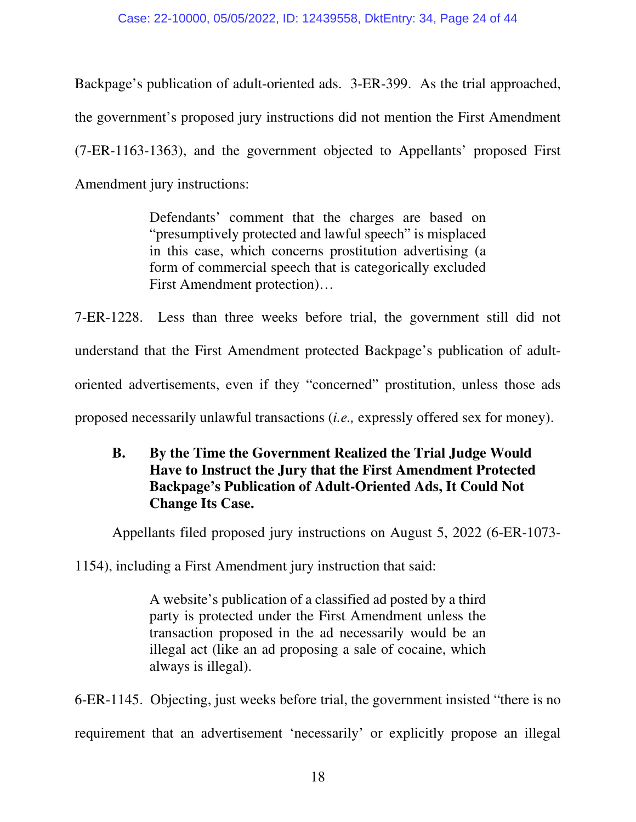Backpage's publication of adult-oriented ads. 3-ER-399. As the trial approached, the government's proposed jury instructions did not mention the First Amendment (7-ER-1163-1363), and the government objected to Appellants' proposed First Amendment jury instructions:

> Defendants' comment that the charges are based on "presumptively protected and lawful speech" is misplaced in this case, which concerns prostitution advertising (a form of commercial speech that is categorically excluded First Amendment protection)…

7-ER-1228. Less than three weeks before trial, the government still did not understand that the First Amendment protected Backpage's publication of adultoriented advertisements, even if they "concerned" prostitution, unless those ads proposed necessarily unlawful transactions (*i.e.,* expressly offered sex for money).

# **B. By the Time the Government Realized the Trial Judge Would Have to Instruct the Jury that the First Amendment Protected Backpage's Publication of Adult-Oriented Ads, It Could Not Change Its Case.**

Appellants filed proposed jury instructions on August 5, 2022 (6-ER-1073-

1154), including a First Amendment jury instruction that said:

A website's publication of a classified ad posted by a third party is protected under the First Amendment unless the transaction proposed in the ad necessarily would be an illegal act (like an ad proposing a sale of cocaine, which always is illegal).

6-ER-1145. Objecting, just weeks before trial, the government insisted "there is no requirement that an advertisement 'necessarily' or explicitly propose an illegal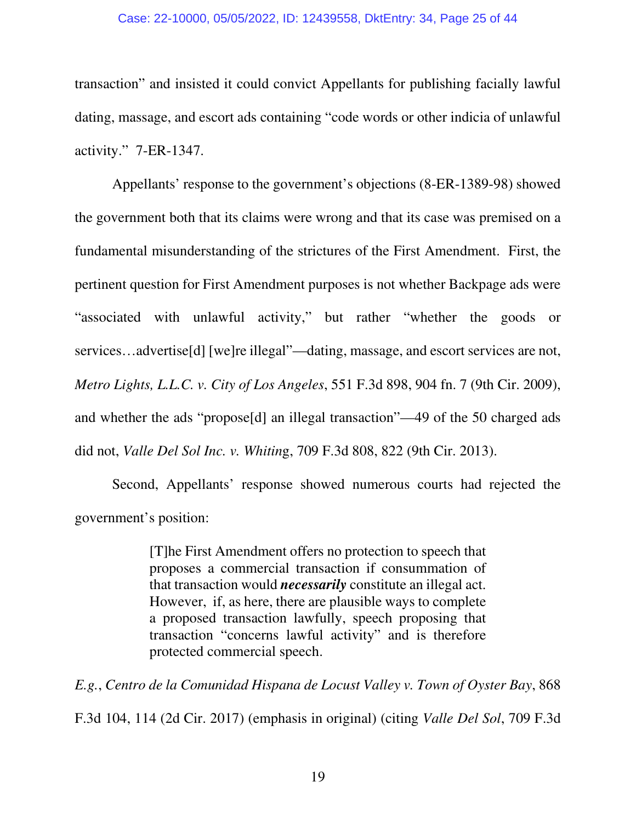#### Case: 22-10000, 05/05/2022, ID: 12439558, DktEntry: 34, Page 25 of 44

transaction" and insisted it could convict Appellants for publishing facially lawful dating, massage, and escort ads containing "code words or other indicia of unlawful activity." 7-ER-1347.

 Appellants' response to the government's objections (8-ER-1389-98) showed the government both that its claims were wrong and that its case was premised on a fundamental misunderstanding of the strictures of the First Amendment. First, the pertinent question for First Amendment purposes is not whether Backpage ads were "associated with unlawful activity," but rather "whether the goods or services…advertise[d] [we]re illegal"—dating, massage, and escort services are not, *Metro Lights, L.L.C. v. City of Los Angeles*, 551 F.3d 898, 904 fn. 7 (9th Cir. 2009), and whether the ads "propose[d] an illegal transaction"—49 of the 50 charged ads did not, *Valle Del Sol Inc. v. Whitin*g, 709 F.3d 808, 822 (9th Cir. 2013).

 Second, Appellants' response showed numerous courts had rejected the government's position:

> [T]he First Amendment offers no protection to speech that proposes a commercial transaction if consummation of that transaction would *necessarily* constitute an illegal act. However, if, as here, there are plausible ways to complete a proposed transaction lawfully, speech proposing that transaction "concerns lawful activity" and is therefore protected commercial speech.

*E.g.*, *Centro de la Comunidad Hispana de Locust Valley v. Town of Oyster Bay*, 868 F.3d 104, 114 (2d Cir. 2017) (emphasis in original) (citing *Valle Del Sol*, 709 F.3d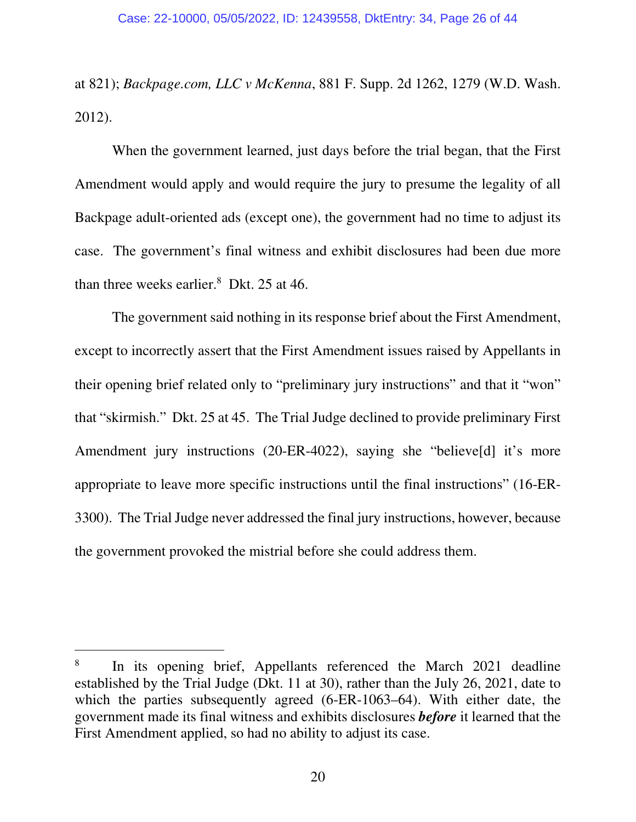at 821); *Backpage.com, LLC v McKenna*, 881 F. Supp. 2d 1262, 1279 (W.D. Wash. 2012).

 When the government learned, just days before the trial began, that the First Amendment would apply and would require the jury to presume the legality of all Backpage adult-oriented ads (except one), the government had no time to adjust its case. The government's final witness and exhibit disclosures had been due more than three weeks earlier. $8$  Dkt. 25 at 46.

 The government said nothing in its response brief about the First Amendment, except to incorrectly assert that the First Amendment issues raised by Appellants in their opening brief related only to "preliminary jury instructions" and that it "won" that "skirmish." Dkt. 25 at 45. The Trial Judge declined to provide preliminary First Amendment jury instructions (20-ER-4022), saying she "believe[d] it's more appropriate to leave more specific instructions until the final instructions" (16-ER-3300). The Trial Judge never addressed the final jury instructions, however, because the government provoked the mistrial before she could address them.

<sup>8</sup> In its opening brief, Appellants referenced the March 2021 deadline established by the Trial Judge (Dkt. 11 at 30), rather than the July 26, 2021, date to which the parties subsequently agreed (6-ER-1063–64). With either date, the government made its final witness and exhibits disclosures *before* it learned that the First Amendment applied, so had no ability to adjust its case.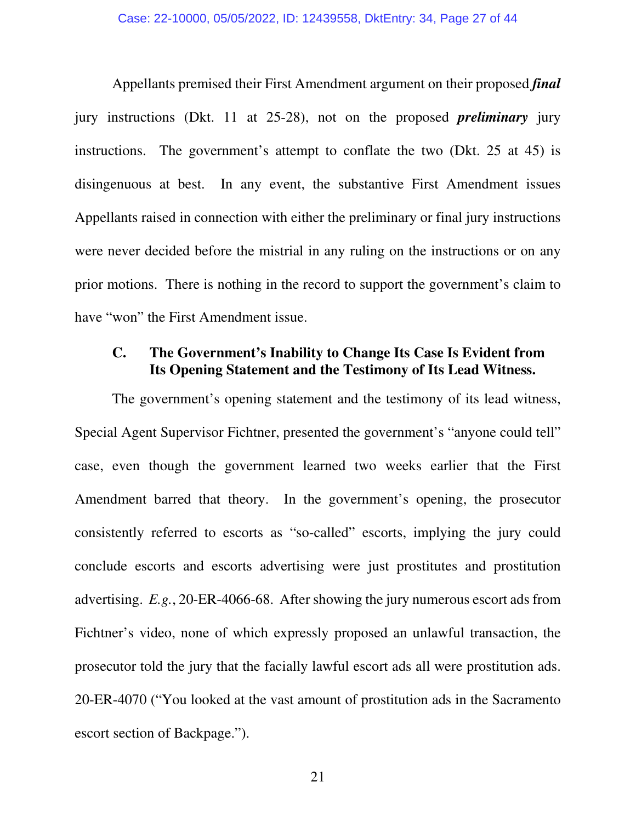Appellants premised their First Amendment argument on their proposed *final* jury instructions (Dkt. 11 at 25-28), not on the proposed *preliminary* jury instructions. The government's attempt to conflate the two (Dkt. 25 at 45) is disingenuous at best. In any event, the substantive First Amendment issues Appellants raised in connection with either the preliminary or final jury instructions were never decided before the mistrial in any ruling on the instructions or on any prior motions. There is nothing in the record to support the government's claim to have "won" the First Amendment issue.

## **C. The Government's Inability to Change Its Case Is Evident from Its Opening Statement and the Testimony of Its Lead Witness.**

 The government's opening statement and the testimony of its lead witness, Special Agent Supervisor Fichtner, presented the government's "anyone could tell" case, even though the government learned two weeks earlier that the First Amendment barred that theory. In the government's opening, the prosecutor consistently referred to escorts as "so-called" escorts, implying the jury could conclude escorts and escorts advertising were just prostitutes and prostitution advertising. *E.g.*, 20-ER-4066-68. After showing the jury numerous escort ads from Fichtner's video, none of which expressly proposed an unlawful transaction, the prosecutor told the jury that the facially lawful escort ads all were prostitution ads. 20-ER-4070 ("You looked at the vast amount of prostitution ads in the Sacramento escort section of Backpage.").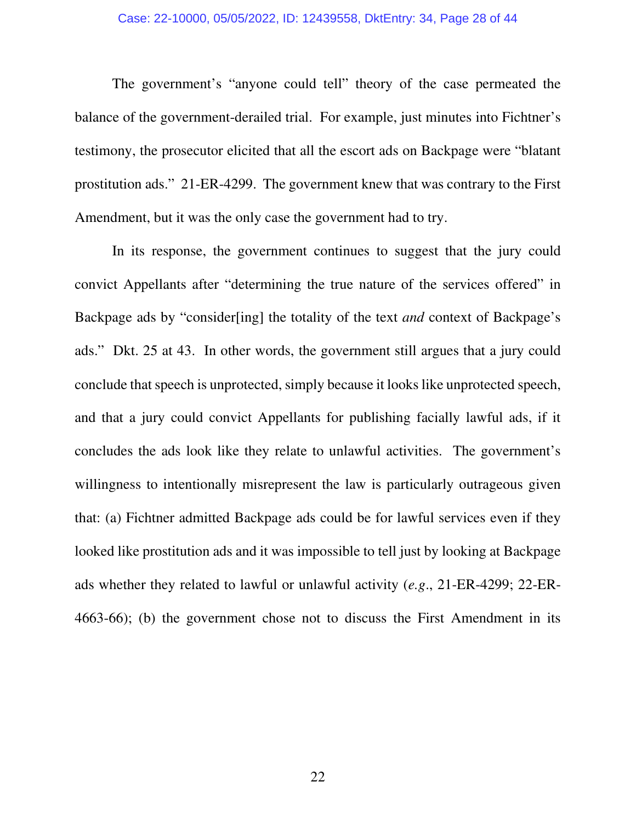#### Case: 22-10000, 05/05/2022, ID: 12439558, DktEntry: 34, Page 28 of 44

The government's "anyone could tell" theory of the case permeated the balance of the government-derailed trial. For example, just minutes into Fichtner's testimony, the prosecutor elicited that all the escort ads on Backpage were "blatant prostitution ads." 21-ER-4299. The government knew that was contrary to the First Amendment, but it was the only case the government had to try.

In its response, the government continues to suggest that the jury could convict Appellants after "determining the true nature of the services offered" in Backpage ads by "consider[ing] the totality of the text *and* context of Backpage's ads." Dkt. 25 at 43. In other words, the government still argues that a jury could conclude that speech is unprotected, simply because it looks like unprotected speech, and that a jury could convict Appellants for publishing facially lawful ads, if it concludes the ads look like they relate to unlawful activities. The government's willingness to intentionally misrepresent the law is particularly outrageous given that: (a) Fichtner admitted Backpage ads could be for lawful services even if they looked like prostitution ads and it was impossible to tell just by looking at Backpage ads whether they related to lawful or unlawful activity (*e.g*., 21-ER-4299; 22-ER-4663-66); (b) the government chose not to discuss the First Amendment in its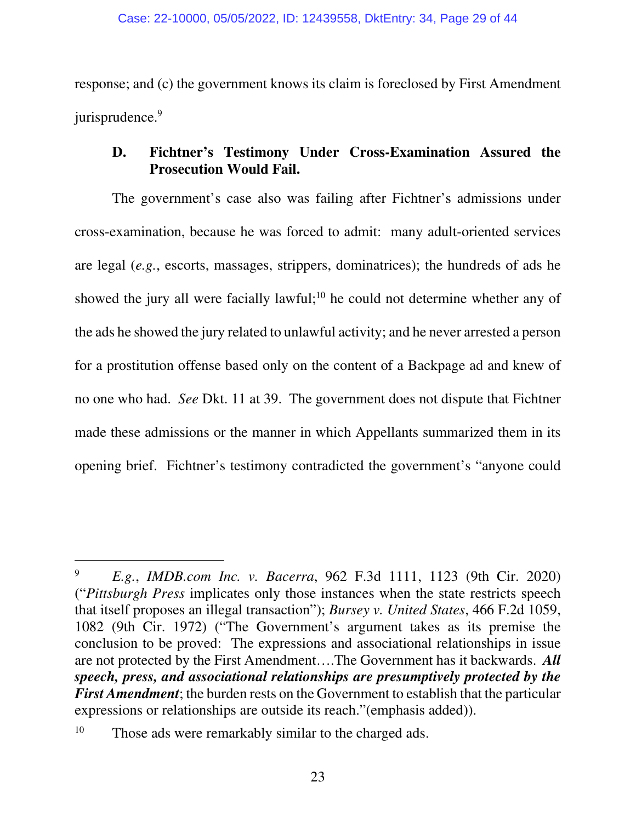response; and (c) the government knows its claim is foreclosed by First Amendment jurisprudence.<sup>9</sup>

## **D. Fichtner's Testimony Under Cross-Examination Assured the Prosecution Would Fail.**

 The government's case also was failing after Fichtner's admissions under cross-examination, because he was forced to admit: many adult-oriented services are legal (*e.g.*, escorts, massages, strippers, dominatrices); the hundreds of ads he showed the jury all were facially lawful;<sup>10</sup> he could not determine whether any of the ads he showed the jury related to unlawful activity; and he never arrested a person for a prostitution offense based only on the content of a Backpage ad and knew of no one who had. *See* Dkt. 11 at 39. The government does not dispute that Fichtner made these admissions or the manner in which Appellants summarized them in its opening brief. Fichtner's testimony contradicted the government's "anyone could

<sup>9</sup> *E.g.*, *IMDB.com Inc. v. Bacerra*, 962 F.3d 1111, 1123 (9th Cir. 2020) ("*Pittsburgh Press* implicates only those instances when the state restricts speech that itself proposes an illegal transaction"); *Bursey v. United States*, 466 F.2d 1059, 1082 (9th Cir. 1972) ("The Government's argument takes as its premise the conclusion to be proved: The expressions and associational relationships in issue are not protected by the First Amendment….The Government has it backwards. *All speech, press, and associational relationships are presumptively protected by the First Amendment*; the burden rests on the Government to establish that the particular expressions or relationships are outside its reach."(emphasis added)).

<sup>&</sup>lt;sup>10</sup> Those ads were remarkably similar to the charged ads.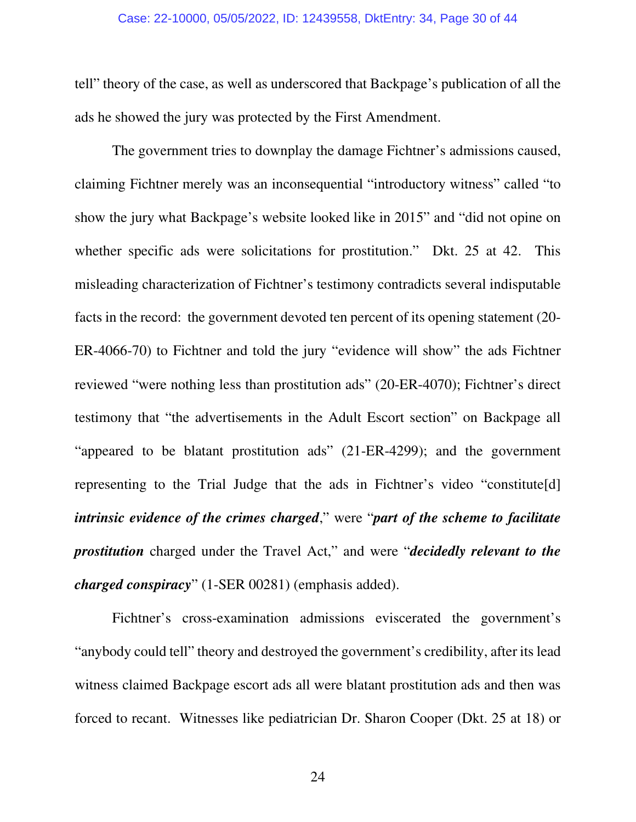#### Case: 22-10000, 05/05/2022, ID: 12439558, DktEntry: 34, Page 30 of 44

tell" theory of the case, as well as underscored that Backpage's publication of all the ads he showed the jury was protected by the First Amendment.

 The government tries to downplay the damage Fichtner's admissions caused, claiming Fichtner merely was an inconsequential "introductory witness" called "to show the jury what Backpage's website looked like in 2015" and "did not opine on whether specific ads were solicitations for prostitution." Dkt. 25 at 42. This misleading characterization of Fichtner's testimony contradicts several indisputable facts in the record: the government devoted ten percent of its opening statement (20- ER-4066-70) to Fichtner and told the jury "evidence will show" the ads Fichtner reviewed "were nothing less than prostitution ads" (20-ER-4070); Fichtner's direct testimony that "the advertisements in the Adult Escort section" on Backpage all "appeared to be blatant prostitution ads" (21-ER-4299); and the government representing to the Trial Judge that the ads in Fichtner's video "constitute[d] *intrinsic evidence of the crimes charged*," were "*part of the scheme to facilitate prostitution* charged under the Travel Act," and were "*decidedly relevant to the charged conspiracy*" (1-SER 00281) (emphasis added).

Fichtner's cross-examination admissions eviscerated the government's "anybody could tell" theory and destroyed the government's credibility, after its lead witness claimed Backpage escort ads all were blatant prostitution ads and then was forced to recant. Witnesses like pediatrician Dr. Sharon Cooper (Dkt. 25 at 18) or

24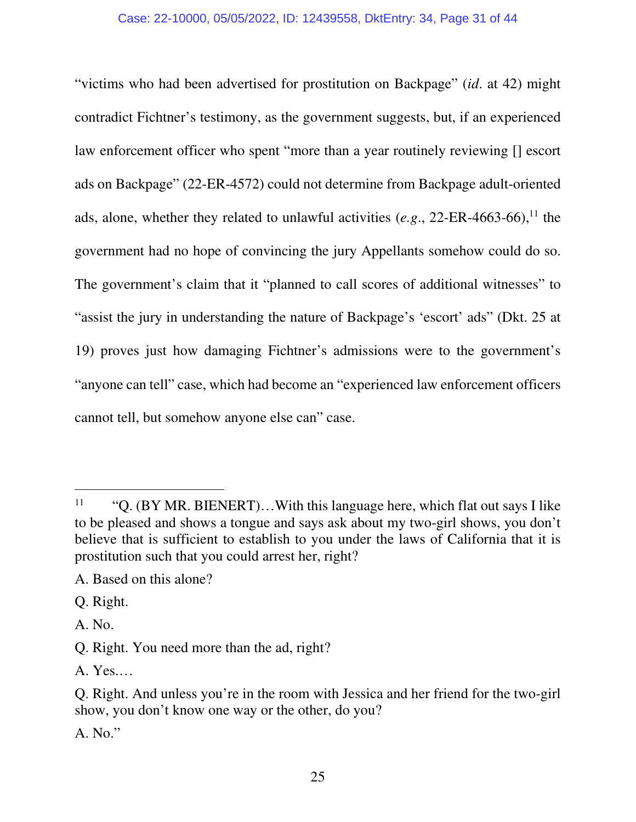#### Case: 22-10000, 05/05/2022, ID: 12439558, DktEntry: 34, Page 31 of 44

"victims who had been advertised for prostitution on Backpage" (*id*. at 42) might contradict Fichtner's testimony, as the government suggests, but, if an experienced law enforcement officer who spent "more than a year routinely reviewing [] escort ads on Backpage" (22-ER-4572) could not determine from Backpage adult-oriented ads, alone, whether they related to unlawful activities  $(e.g., 22-ER-4663-66),<sup>11</sup>$  the government had no hope of convincing the jury Appellants somehow could do so. The government's claim that it "planned to call scores of additional witnesses" to "assist the jury in understanding the nature of Backpage's 'escort' ads" (Dkt. 25 at 19) proves just how damaging Fichtner's admissions were to the government's "anyone can tell" case, which had become an "experienced law enforcement officers cannot tell, but somehow anyone else can" case.

A. No."

<sup>&</sup>lt;sup>11</sup> "Q. (BY MR. BIENERT)...With this language here, which flat out says I like to be pleased and shows a tongue and says ask about my two-girl shows, you don't believe that is sufficient to establish to you under the laws of California that it is prostitution such that you could arrest her, right?

A. Based on this alone?

Q. Right.

A. No.

Q. Right. You need more than the ad, right?

A. Yes.…

Q. Right. And unless you're in the room with Jessica and her friend for the two-girl show, you don't know one way or the other, do you?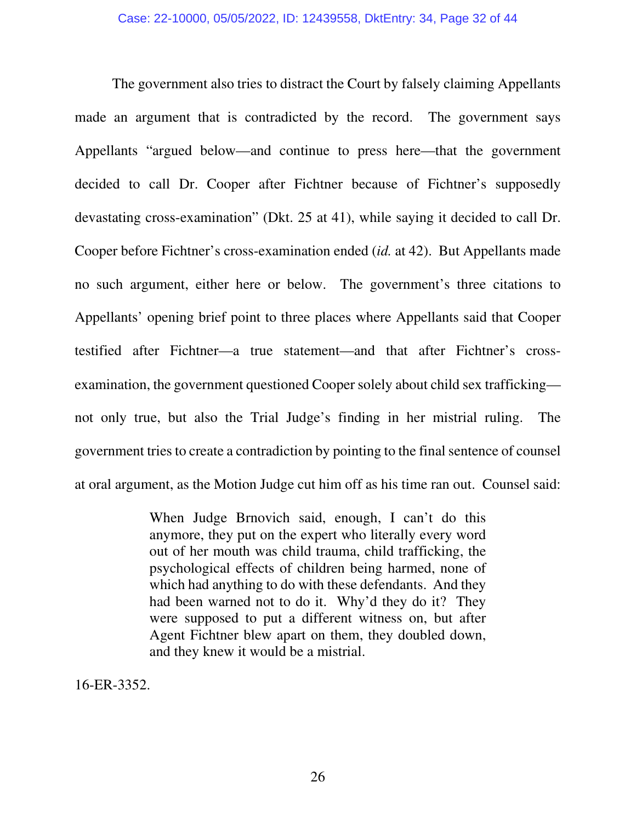The government also tries to distract the Court by falsely claiming Appellants made an argument that is contradicted by the record. The government says Appellants "argued below—and continue to press here—that the government decided to call Dr. Cooper after Fichtner because of Fichtner's supposedly devastating cross-examination" (Dkt. 25 at 41), while saying it decided to call Dr. Cooper before Fichtner's cross-examination ended (*id.* at 42). But Appellants made no such argument, either here or below. The government's three citations to Appellants' opening brief point to three places where Appellants said that Cooper testified after Fichtner—a true statement—and that after Fichtner's crossexamination, the government questioned Cooper solely about child sex trafficking not only true, but also the Trial Judge's finding in her mistrial ruling. The government tries to create a contradiction by pointing to the final sentence of counsel at oral argument, as the Motion Judge cut him off as his time ran out. Counsel said:

> When Judge Brnovich said, enough, I can't do this anymore, they put on the expert who literally every word out of her mouth was child trauma, child trafficking, the psychological effects of children being harmed, none of which had anything to do with these defendants. And they had been warned not to do it. Why'd they do it? They were supposed to put a different witness on, but after Agent Fichtner blew apart on them, they doubled down, and they knew it would be a mistrial.

16-ER-3352.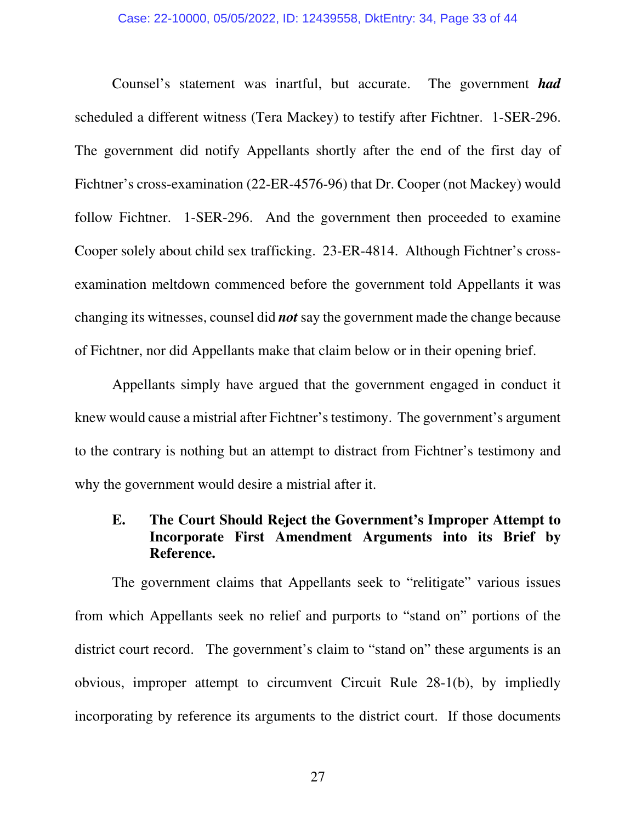Counsel's statement was inartful, but accurate. The government *had* scheduled a different witness (Tera Mackey) to testify after Fichtner. 1-SER-296. The government did notify Appellants shortly after the end of the first day of Fichtner's cross-examination (22-ER-4576-96) that Dr. Cooper (not Mackey) would follow Fichtner. 1-SER-296. And the government then proceeded to examine Cooper solely about child sex trafficking. 23-ER-4814. Although Fichtner's crossexamination meltdown commenced before the government told Appellants it was changing its witnesses, counsel did *not* say the government made the change because of Fichtner, nor did Appellants make that claim below or in their opening brief.

 Appellants simply have argued that the government engaged in conduct it knew would cause a mistrial after Fichtner's testimony. The government's argument to the contrary is nothing but an attempt to distract from Fichtner's testimony and why the government would desire a mistrial after it.

## **E. The Court Should Reject the Government's Improper Attempt to Incorporate First Amendment Arguments into its Brief by Reference.**

 The government claims that Appellants seek to "relitigate" various issues from which Appellants seek no relief and purports to "stand on" portions of the district court record. The government's claim to "stand on" these arguments is an obvious, improper attempt to circumvent Circuit Rule 28-1(b), by impliedly incorporating by reference its arguments to the district court. If those documents

27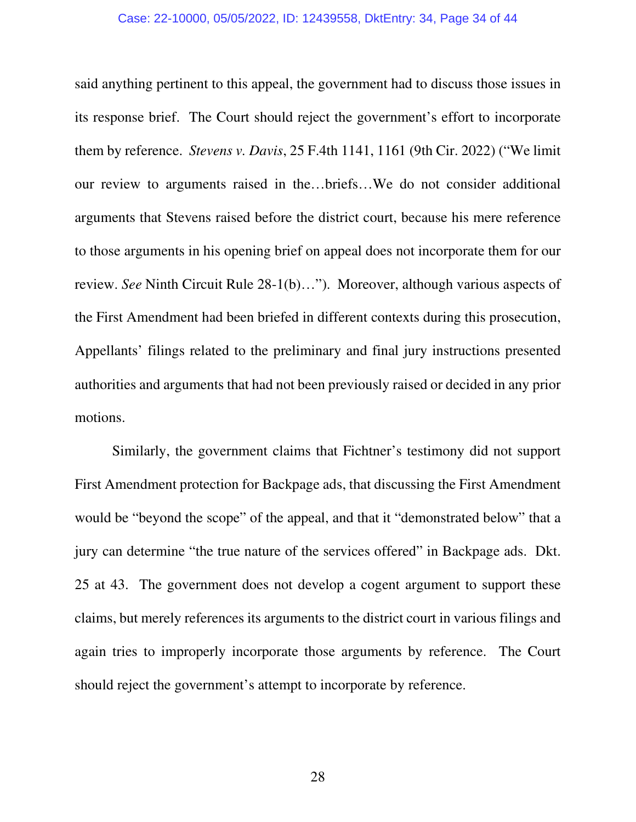#### Case: 22-10000, 05/05/2022, ID: 12439558, DktEntry: 34, Page 34 of 44

said anything pertinent to this appeal, the government had to discuss those issues in its response brief. The Court should reject the government's effort to incorporate them by reference. *Stevens v. Davis*, 25 F.4th 1141, 1161 (9th Cir. 2022) ("We limit our review to arguments raised in the…briefs…We do not consider additional arguments that Stevens raised before the district court, because his mere reference to those arguments in his opening brief on appeal does not incorporate them for our review. *See* Ninth Circuit Rule 28-1(b)…"). Moreover, although various aspects of the First Amendment had been briefed in different contexts during this prosecution, Appellants' filings related to the preliminary and final jury instructions presented authorities and arguments that had not been previously raised or decided in any prior motions.

 Similarly, the government claims that Fichtner's testimony did not support First Amendment protection for Backpage ads, that discussing the First Amendment would be "beyond the scope" of the appeal, and that it "demonstrated below" that a jury can determine "the true nature of the services offered" in Backpage ads. Dkt. 25 at 43. The government does not develop a cogent argument to support these claims, but merely references its arguments to the district court in various filings and again tries to improperly incorporate those arguments by reference. The Court should reject the government's attempt to incorporate by reference.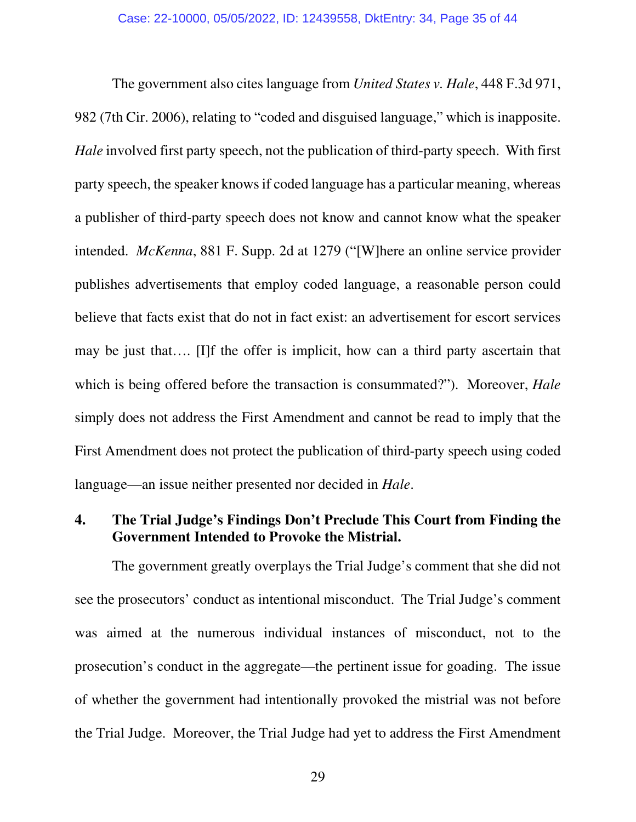The government also cites language from *United States v. Hale*, 448 F.3d 971, 982 (7th Cir. 2006), relating to "coded and disguised language," which is inapposite. *Hale* involved first party speech, not the publication of third-party speech. With first party speech, the speaker knows if coded language has a particular meaning, whereas a publisher of third-party speech does not know and cannot know what the speaker intended. *McKenna*, 881 F. Supp. 2d at 1279 ("[W]here an online service provider publishes advertisements that employ coded language, a reasonable person could believe that facts exist that do not in fact exist: an advertisement for escort services may be just that…. [I]f the offer is implicit, how can a third party ascertain that which is being offered before the transaction is consummated?"). Moreover, *Hale* simply does not address the First Amendment and cannot be read to imply that the First Amendment does not protect the publication of third-party speech using coded language—an issue neither presented nor decided in *Hale*.

## **4. The Trial Judge's Findings Don't Preclude This Court from Finding the Government Intended to Provoke the Mistrial.**

 The government greatly overplays the Trial Judge's comment that she did not see the prosecutors' conduct as intentional misconduct. The Trial Judge's comment was aimed at the numerous individual instances of misconduct, not to the prosecution's conduct in the aggregate—the pertinent issue for goading. The issue of whether the government had intentionally provoked the mistrial was not before the Trial Judge. Moreover, the Trial Judge had yet to address the First Amendment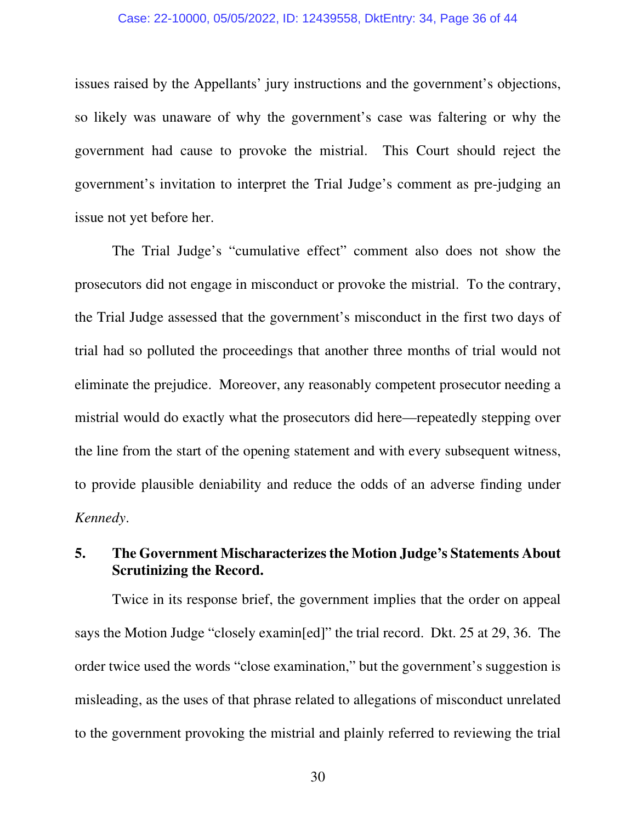#### Case: 22-10000, 05/05/2022, ID: 12439558, DktEntry: 34, Page 36 of 44

issues raised by the Appellants' jury instructions and the government's objections, so likely was unaware of why the government's case was faltering or why the government had cause to provoke the mistrial. This Court should reject the government's invitation to interpret the Trial Judge's comment as pre-judging an issue not yet before her.

 The Trial Judge's "cumulative effect" comment also does not show the prosecutors did not engage in misconduct or provoke the mistrial. To the contrary, the Trial Judge assessed that the government's misconduct in the first two days of trial had so polluted the proceedings that another three months of trial would not eliminate the prejudice. Moreover, any reasonably competent prosecutor needing a mistrial would do exactly what the prosecutors did here—repeatedly stepping over the line from the start of the opening statement and with every subsequent witness, to provide plausible deniability and reduce the odds of an adverse finding under *Kennedy*.

# **5. The Government Mischaracterizes the Motion Judge's Statements About Scrutinizing the Record.**

 Twice in its response brief, the government implies that the order on appeal says the Motion Judge "closely examin[ed]" the trial record. Dkt. 25 at 29, 36. The order twice used the words "close examination," but the government's suggestion is misleading, as the uses of that phrase related to allegations of misconduct unrelated to the government provoking the mistrial and plainly referred to reviewing the trial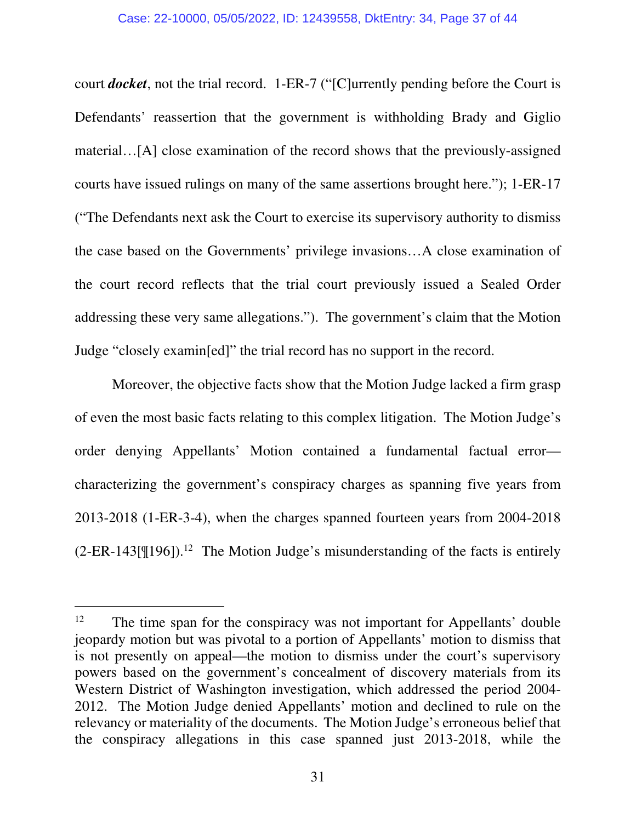court *docket*, not the trial record. 1-ER-7 ("[C]urrently pending before the Court is Defendants' reassertion that the government is withholding Brady and Giglio material…[A] close examination of the record shows that the previously-assigned courts have issued rulings on many of the same assertions brought here."); 1-ER-17 ("The Defendants next ask the Court to exercise its supervisory authority to dismiss the case based on the Governments' privilege invasions…A close examination of the court record reflects that the trial court previously issued a Sealed Order addressing these very same allegations."). The government's claim that the Motion Judge "closely examin[ed]" the trial record has no support in the record.

 Moreover, the objective facts show that the Motion Judge lacked a firm grasp of even the most basic facts relating to this complex litigation. The Motion Judge's order denying Appellants' Motion contained a fundamental factual error characterizing the government's conspiracy charges as spanning five years from 2013-2018 (1-ER-3-4), when the charges spanned fourteen years from 2004-2018  $(2-ER-143[\mathcal{F}196])$ <sup>12</sup> The Motion Judge's misunderstanding of the facts is entirely

 $12$  The time span for the conspiracy was not important for Appellants' double jeopardy motion but was pivotal to a portion of Appellants' motion to dismiss that is not presently on appeal—the motion to dismiss under the court's supervisory powers based on the government's concealment of discovery materials from its Western District of Washington investigation, which addressed the period 2004- 2012. The Motion Judge denied Appellants' motion and declined to rule on the relevancy or materiality of the documents. The Motion Judge's erroneous belief that the conspiracy allegations in this case spanned just 2013-2018, while the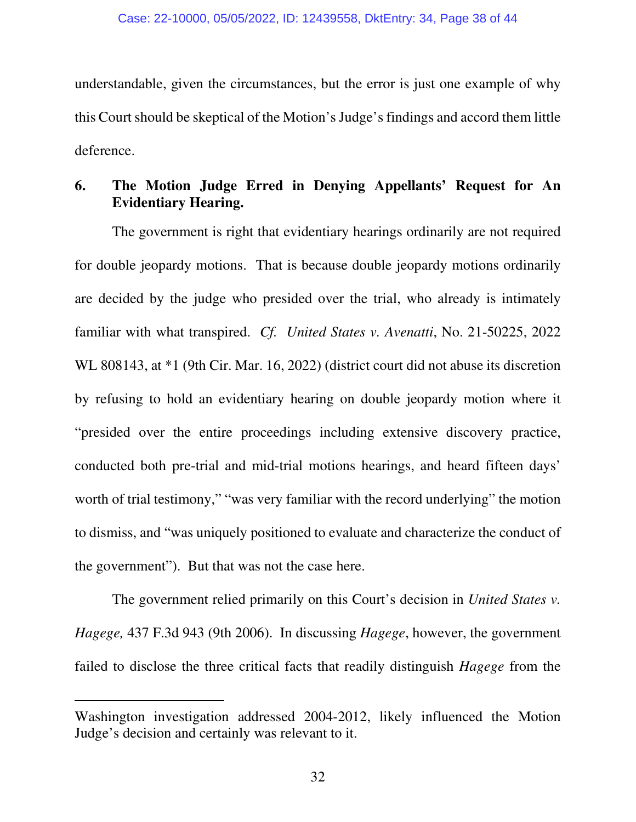understandable, given the circumstances, but the error is just one example of why this Court should be skeptical of the Motion's Judge's findings and accord them little deference.

# **6. The Motion Judge Erred in Denying Appellants' Request for An Evidentiary Hearing.**

 The government is right that evidentiary hearings ordinarily are not required for double jeopardy motions. That is because double jeopardy motions ordinarily are decided by the judge who presided over the trial, who already is intimately familiar with what transpired. *Cf. United States v. Avenatti*, No. 21-50225, 2022 WL 808143, at \*1 (9th Cir. Mar. 16, 2022) (district court did not abuse its discretion by refusing to hold an evidentiary hearing on double jeopardy motion where it "presided over the entire proceedings including extensive discovery practice, conducted both pre-trial and mid-trial motions hearings, and heard fifteen days' worth of trial testimony," "was very familiar with the record underlying" the motion to dismiss, and "was uniquely positioned to evaluate and characterize the conduct of the government"). But that was not the case here.

 The government relied primarily on this Court's decision in *United States v. Hagege,* 437 F.3d 943 (9th 2006). In discussing *Hagege*, however, the government failed to disclose the three critical facts that readily distinguish *Hagege* from the

Washington investigation addressed 2004-2012, likely influenced the Motion Judge's decision and certainly was relevant to it.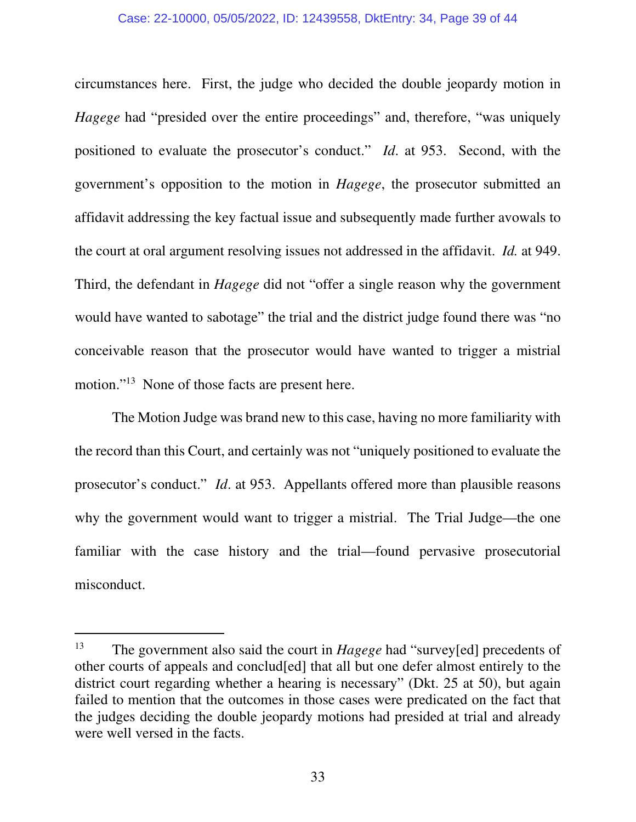#### Case: 22-10000, 05/05/2022, ID: 12439558, DktEntry: 34, Page 39 of 44

circumstances here. First, the judge who decided the double jeopardy motion in *Hagege* had "presided over the entire proceedings" and, therefore, "was uniquely positioned to evaluate the prosecutor's conduct." *Id*. at 953. Second, with the government's opposition to the motion in *Hagege*, the prosecutor submitted an affidavit addressing the key factual issue and subsequently made further avowals to the court at oral argument resolving issues not addressed in the affidavit. *Id.* at 949. Third, the defendant in *Hagege* did not "offer a single reason why the government would have wanted to sabotage" the trial and the district judge found there was "no conceivable reason that the prosecutor would have wanted to trigger a mistrial motion."<sup>13</sup> None of those facts are present here.

 The Motion Judge was brand new to this case, having no more familiarity with the record than this Court, and certainly was not "uniquely positioned to evaluate the prosecutor's conduct." *Id*. at 953. Appellants offered more than plausible reasons why the government would want to trigger a mistrial. The Trial Judge—the one familiar with the case history and the trial—found pervasive prosecutorial misconduct.

<sup>13</sup> The government also said the court in *Hagege* had "survey[ed] precedents of other courts of appeals and conclud[ed] that all but one defer almost entirely to the district court regarding whether a hearing is necessary" (Dkt. 25 at 50), but again failed to mention that the outcomes in those cases were predicated on the fact that the judges deciding the double jeopardy motions had presided at trial and already were well versed in the facts.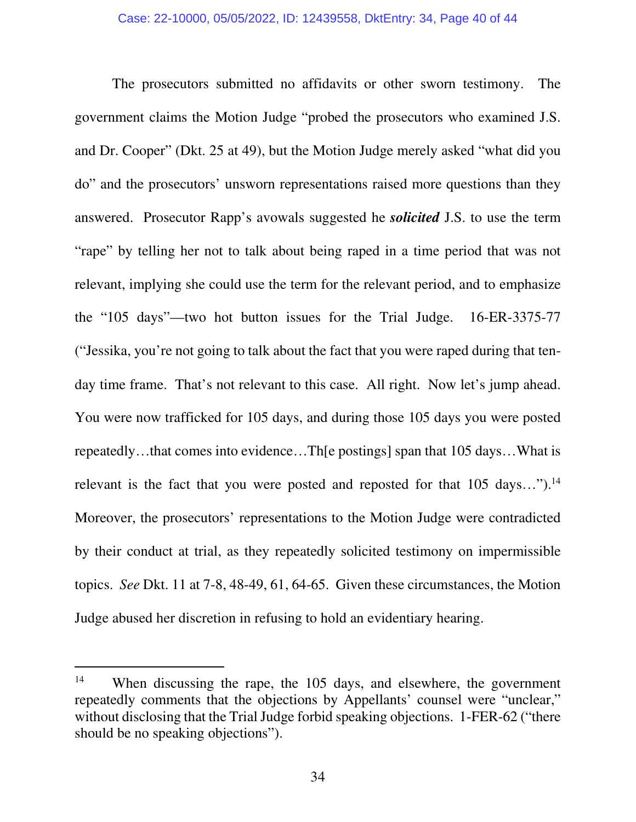The prosecutors submitted no affidavits or other sworn testimony. The government claims the Motion Judge "probed the prosecutors who examined J.S. and Dr. Cooper" (Dkt. 25 at 49), but the Motion Judge merely asked "what did you do" and the prosecutors' unsworn representations raised more questions than they answered. Prosecutor Rapp's avowals suggested he *solicited* J.S. to use the term "rape" by telling her not to talk about being raped in a time period that was not relevant, implying she could use the term for the relevant period, and to emphasize the "105 days"—two hot button issues for the Trial Judge. 16-ER-3375-77 ("Jessika, you're not going to talk about the fact that you were raped during that tenday time frame. That's not relevant to this case. All right. Now let's jump ahead. You were now trafficked for 105 days, and during those 105 days you were posted repeatedly…that comes into evidence…Th[e postings] span that 105 days…What is relevant is the fact that you were posted and reposted for that  $105 \text{ days}...$ ").<sup>14</sup> Moreover, the prosecutors' representations to the Motion Judge were contradicted by their conduct at trial, as they repeatedly solicited testimony on impermissible topics. *See* Dkt. 11 at 7-8, 48-49, 61, 64-65. Given these circumstances, the Motion Judge abused her discretion in refusing to hold an evidentiary hearing.

<sup>&</sup>lt;sup>14</sup> When discussing the rape, the 105 days, and elsewhere, the government repeatedly comments that the objections by Appellants' counsel were "unclear," without disclosing that the Trial Judge forbid speaking objections. 1-FER-62 ("there should be no speaking objections").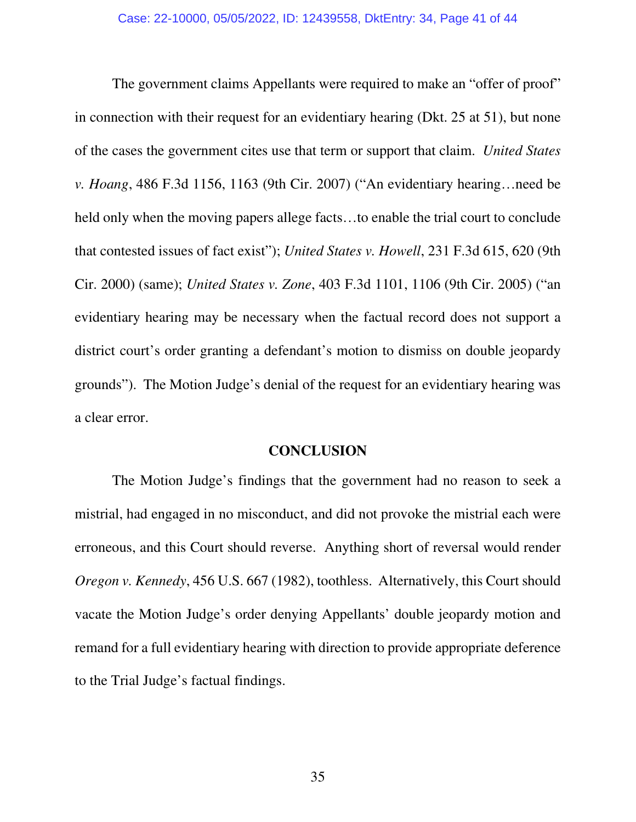The government claims Appellants were required to make an "offer of proof" in connection with their request for an evidentiary hearing (Dkt. 25 at 51), but none of the cases the government cites use that term or support that claim. *United States v. Hoang*, 486 F.3d 1156, 1163 (9th Cir. 2007) ("An evidentiary hearing…need be held only when the moving papers allege facts…to enable the trial court to conclude that contested issues of fact exist"); *United States v. Howell*, 231 F.3d 615, 620 (9th Cir. 2000) (same); *United States v. Zone*, 403 F.3d 1101, 1106 (9th Cir. 2005) ("an evidentiary hearing may be necessary when the factual record does not support a district court's order granting a defendant's motion to dismiss on double jeopardy grounds"). The Motion Judge's denial of the request for an evidentiary hearing was a clear error.

### **CONCLUSION**

 The Motion Judge's findings that the government had no reason to seek a mistrial, had engaged in no misconduct, and did not provoke the mistrial each were erroneous, and this Court should reverse. Anything short of reversal would render *Oregon v. Kennedy*, 456 U.S. 667 (1982), toothless. Alternatively, this Court should vacate the Motion Judge's order denying Appellants' double jeopardy motion and remand for a full evidentiary hearing with direction to provide appropriate deference to the Trial Judge's factual findings.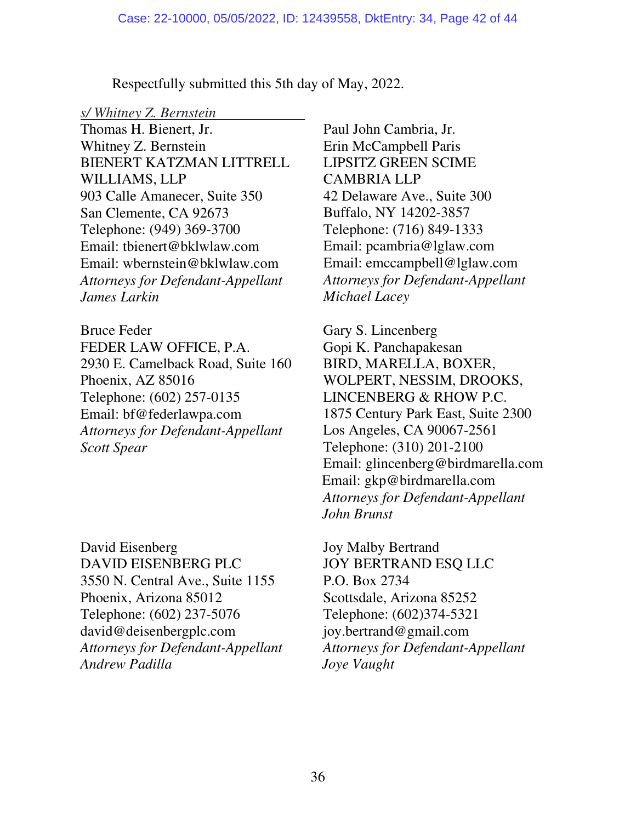Respectfully submitted this 5th day of May, 2022.

#### *s/ Whitney Z. Bernstein*

Thomas H. Bienert, Jr. Whitney Z. Bernstein BIENERT KATZMAN LITTRELL WILLIAMS, LLP 903 Calle Amanecer, Suite 350 San Clemente, CA 92673 Telephone: (949) 369-3700 Email: tbienert@bklwlaw.com Email: wbernstein@bklwlaw.com *Attorneys for Defendant-Appellant James Larkin*

Bruce Feder FEDER LAW OFFICE, P.A. 2930 E. Camelback Road, Suite 160 Phoenix, AZ 85016 Telephone: (602) 257-0135 Email: bf@federlawpa.com *Attorneys for Defendant-Appellant Scott Spear* 

David Eisenberg DAVID EISENBERG PLC 3550 N. Central Ave., Suite 1155 Phoenix, Arizona 85012 Telephone: (602) 237-5076 david@deisenbergplc.com *Attorneys for Defendant-Appellant Andrew Padilla*

Paul John Cambria, Jr. Erin McCampbell Paris LIPSITZ GREEN SCIME CAMBRIA LLP 42 Delaware Ave., Suite 300 Buffalo, NY 14202-3857 Telephone: (716) 849-1333 Email: pcambria@lglaw.com Email: emccampbell@lglaw.com *Attorneys for Defendant-Appellant Michael Lacey* 

Gary S. Lincenberg Gopi K. Panchapakesan BIRD, MARELLA, BOXER, WOLPERT, NESSIM, DROOKS, LINCENBERG & RHOW P.C. 1875 Century Park East, Suite 2300 Los Angeles, CA 90067-2561 Telephone: (310) 201-2100 Email: glincenberg@birdmarella.com Email: gkp@birdmarella.com *Attorneys for Defendant-Appellant John Brunst*

Joy Malby Bertrand JOY BERTRAND ESQ LLC P.O. Box 2734 Scottsdale, Arizona 85252 Telephone: (602)374-5321 joy.bertrand@gmail.com *Attorneys for Defendant-Appellant Joye Vaught*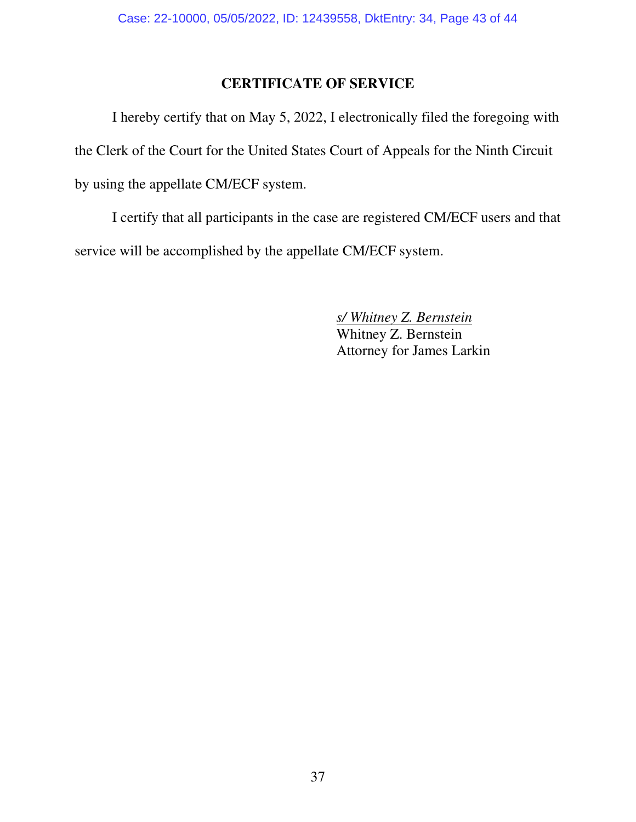# **CERTIFICATE OF SERVICE**

I hereby certify that on May 5, 2022, I electronically filed the foregoing with the Clerk of the Court for the United States Court of Appeals for the Ninth Circuit by using the appellate CM/ECF system.

I certify that all participants in the case are registered CM/ECF users and that service will be accomplished by the appellate CM/ECF system.

> *s/ Whitney Z. Bernstein*  Whitney Z. Bernstein Attorney for James Larkin